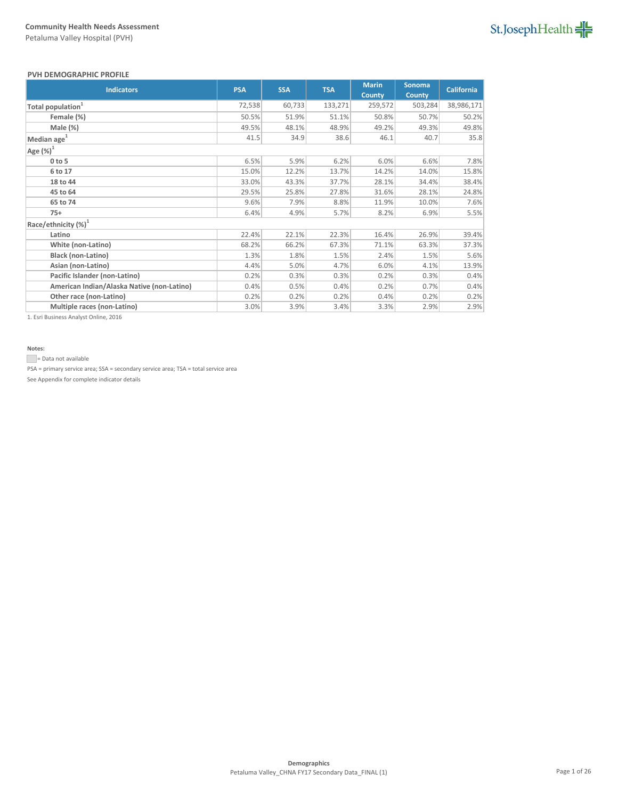# St.JosephHealth

### **PVH DEMOGRAPHIC PROFILE**

| <b>Indicators</b>                          | <b>PSA</b> | <b>SSA</b> | <b>TSA</b> | <b>Marin</b><br><b>County</b> | Sonoma<br><b>County</b> | <b>California</b> |
|--------------------------------------------|------------|------------|------------|-------------------------------|-------------------------|-------------------|
| Total population <sup>1</sup>              | 72,538     | 60,733     | 133,271    | 259,572                       | 503,284                 | 38,986,171        |
| Female (%)                                 | 50.5%      | 51.9%      | 51.1%      | 50.8%                         | 50.7%                   | 50.2%             |
| Male (%)                                   | 49.5%      | 48.1%      | 48.9%      | 49.2%                         | 49.3%                   | 49.8%             |
| Median age <sup>1</sup>                    | 41.5       | 34.9       | 38.6       | 46.1                          | 40.7                    | 35.8              |
| Age $(\%)^1$                               |            |            |            |                               |                         |                   |
| $0$ to 5                                   | 6.5%       | 5.9%       | 6.2%       | 6.0%                          | 6.6%                    | 7.8%              |
| 6 to 17                                    | 15.0%      | 12.2%      | 13.7%      | 14.2%                         | 14.0%                   | 15.8%             |
| 18 to 44                                   | 33.0%      | 43.3%      | 37.7%      | 28.1%                         | 34.4%                   | 38.4%             |
| 45 to 64                                   | 29.5%      | 25.8%      | 27.8%      | 31.6%                         | 28.1%                   | 24.8%             |
| 65 to 74                                   | 9.6%       | 7.9%       | 8.8%       | 11.9%                         | 10.0%                   | 7.6%              |
| $75+$                                      | 6.4%       | 4.9%       | 5.7%       | 8.2%                          | 6.9%                    | 5.5%              |
| Race/ethnicity (%) <sup>1</sup>            |            |            |            |                               |                         |                   |
| Latino                                     | 22.4%      | 22.1%      | 22.3%      | 16.4%                         | 26.9%                   | 39.4%             |
| White (non-Latino)                         | 68.2%      | 66.2%      | 67.3%      | 71.1%                         | 63.3%                   | 37.3%             |
| <b>Black (non-Latino)</b>                  | 1.3%       | 1.8%       | 1.5%       | 2.4%                          | 1.5%                    | 5.6%              |
| Asian (non-Latino)                         | 4.4%       | 5.0%       | 4.7%       | 6.0%                          | 4.1%                    | 13.9%             |
| Pacific Islander (non-Latino)              | 0.2%       | 0.3%       | 0.3%       | 0.2%                          | 0.3%                    | 0.4%              |
| American Indian/Alaska Native (non-Latino) | 0.4%       | 0.5%       | 0.4%       | 0.2%                          | 0.7%                    | 0.4%              |
| Other race (non-Latino)                    | 0.2%       | 0.2%       | 0.2%       | 0.4%                          | 0.2%                    | 0.2%              |
| Multiple races (non-Latino)                | 3.0%       | 3.9%       | 3.4%       | 3.3%                          | 2.9%                    | 2.9%              |

1. Esri Business Analyst Online, 2016

# **Notes:**

= Data not available

PSA = primary service area; SSA = secondary service area; TSA = total service area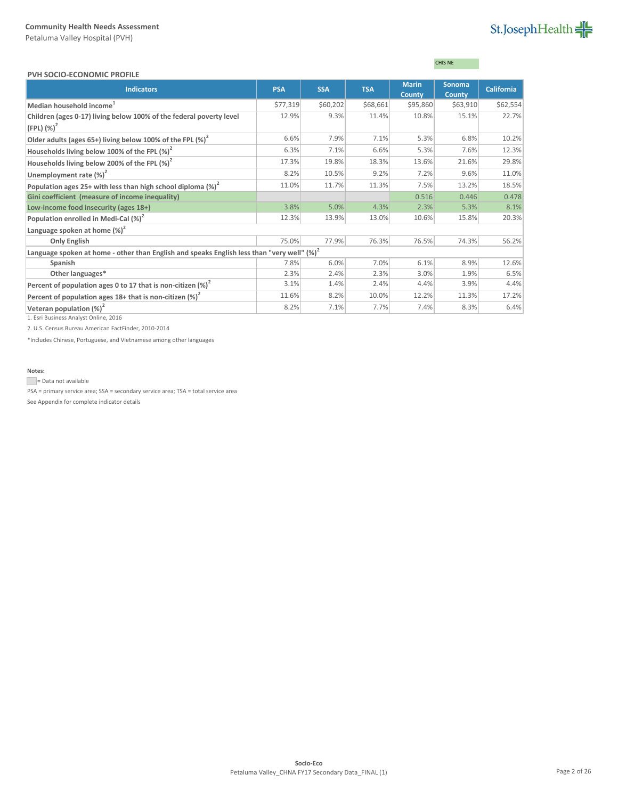# St.JosephHealth

### **PVH SOCIO-ECONOMIC PROFILE**

# CHIS NE

| L VII JUCIU-LCUNUIVIIC LIVULILL                                                                        |            |            |            |              |               |                   |
|--------------------------------------------------------------------------------------------------------|------------|------------|------------|--------------|---------------|-------------------|
| <b>Indicators</b>                                                                                      | <b>PSA</b> | <b>SSA</b> | <b>TSA</b> | <b>Marin</b> | <b>Sonoma</b> | <b>California</b> |
|                                                                                                        |            |            |            | County       | County        |                   |
| Median household income <sup>1</sup>                                                                   | \$77,319   | \$60,202   | \$68,661   | \$95,860     | \$63,910      | \$62,554          |
| Children (ages 0-17) living below 100% of the federal poverty level                                    | 12.9%      | 9.3%       | 11.4%      | 10.8%        | 15.1%         | 22.7%             |
| $(FPL)$ $(\%)^2$                                                                                       |            |            |            |              |               |                   |
| Older adults (ages 65+) living below 100% of the FPL $(\%)^2$                                          | 6.6%       | 7.9%       | 7.1%       | 5.3%         | 6.8%          | 10.2%             |
| Households living below 100% of the FPL $(\%)^2$                                                       | 6.3%       | 7.1%       | 6.6%       | 5.3%         | 7.6%          | 12.3%             |
| Households living below 200% of the FPL $(\%)^2$                                                       | 17.3%      | 19.8%      | 18.3%      | 13.6%        | 21.6%         | 29.8%             |
| Unemployment rate $(\%)^2$                                                                             | 8.2%       | 10.5%      | 9.2%       | 7.2%         | 9.6%          | 11.0%             |
| Population ages 25+ with less than high school diploma $\left(\% \right)^2$                            | 11.0%      | 11.7%      | 11.3%      | 7.5%         | 13.2%         | 18.5%             |
| Gini coefficient (measure of income inequality)                                                        |            |            |            | 0.516        | 0.446         | 0.478             |
| Low-income food insecurity (ages 18+)                                                                  | 3.8%       | 5.0%       | 4.3%       | 2.3%         | 5.3%          | 8.1%              |
| Population enrolled in Medi-Cal (%) <sup>2</sup>                                                       | 12.3%      | 13.9%      | 13.0%      | 10.6%        | 15.8%         | 20.3%             |
| Language spoken at home $(\%)^2$                                                                       |            |            |            |              |               |                   |
| <b>Only English</b>                                                                                    | 75.0%      | 77.9%      | 76.3%      | 76.5%        | 74.3%         | 56.2%             |
| Language spoken at home - other than English and speaks English less than "very well" (%) <sup>2</sup> |            |            |            |              |               |                   |
| Spanish                                                                                                | 7.8%       | 6.0%       | 7.0%       | 6.1%         | 8.9%          | 12.6%             |
| Other languages*                                                                                       | 2.3%       | 2.4%       | 2.3%       | 3.0%         | 1.9%          | 6.5%              |
| Percent of population ages 0 to 17 that is non-citizen $(\%)^2$                                        | 3.1%       | 1.4%       | 2.4%       | 4.4%         | 3.9%          | 4.4%              |
| Percent of population ages 18+ that is non-citizen $(\%)^2$                                            | 11.6%      | 8.2%       | 10.0%      | 12.2%        | 11.3%         | 17.2%             |
| Veteran population $(\%)^2$                                                                            | 8.2%       | 7.1%       | 7.7%       | 7.4%         | 8.3%          | 6.4%              |

1. Esri Business Analyst Online, 2016

2. U.S. Census Bureau American FactFinder, 2010-2014

\*Includes Chinese, Portuguese, and Vietnamese among other languages

## **Notes:**

= Data not available

PSA = primary service area; SSA = secondary service area; TSA = total service area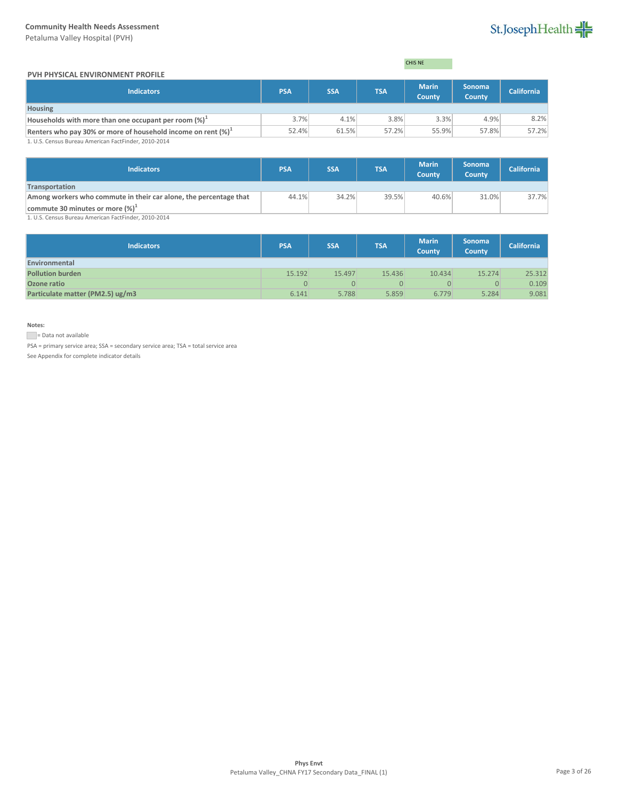Petaluma Valley Hospital (PVH)

# St.JosephHealth

### **PVH PHYSICAL ENVIRONMENT PROFILE**

| CHIS NE |
|---------|
|---------|

| <b>Indicators</b>                                                 | <b>PSA</b> | <b>SSA</b> | <b>TSA</b> | <b>Marin</b><br><b>County</b> | <b>Sonoma</b><br><b>County</b> | <b>California</b> |
|-------------------------------------------------------------------|------------|------------|------------|-------------------------------|--------------------------------|-------------------|
| <b>Housing</b>                                                    |            |            |            |                               |                                |                   |
| Households with more than one occupant per room (%) <sup>-1</sup> | 3.7%       | 4.1%       | 3.8%       | 3.3%                          | 4.9%                           | 8.2%              |
| Renters who pay 30% or more of household income on rent $(\%)^1$  | 52.4%      | 61.5%      | 57.2%      | 55.9%                         | 57.8%                          | 57.2%             |
| 1 U.S. Census Bureau American FactFinder, 2010-2014               |            |            |            |                               |                                |                   |

1. U.S. Census Bureau American FactFinder, 2010-2014

| <b>PSA</b> | <b>SSA</b> | <b>TSA</b> | <b>Marin</b><br><b>County</b> | <b>Sonoma</b><br><b>County</b> | <b>California</b> |
|------------|------------|------------|-------------------------------|--------------------------------|-------------------|
|            |            |            |                               |                                |                   |
|            |            |            | 40.6%                         | 31.0%                          | 37.7%             |
|            |            |            |                               |                                |                   |
|            |            | 44.1%      | 34.2%                         | 39.5%                          |                   |

1. U.S. Census Bureau American FactFinder, 2010-2014

| Indicators                       | <b>PSA</b> | <b>SSA</b> | <b>TSA</b> | <b>Marin</b><br><b>County</b> | <b>Sonoma</b><br>County | <b>California</b> |
|----------------------------------|------------|------------|------------|-------------------------------|-------------------------|-------------------|
| Environmental                    |            |            |            |                               |                         |                   |
| <b>Pollution burden</b>          | 15.192     | 15.497     | 15.436     | 10.434                        | 15.274                  | 25.312            |
| Ozone ratio                      | 0          |            |            |                               | $\overline{0}$          | 0.109             |
| Particulate matter (PM2.5) ug/m3 | 6.141      | 5.788      | 5.859      | 6.779                         | 5.284                   | 9.081             |

**Notes:**

Data not available

PSA = primary service area; SSA = secondary service area; TSA = total service area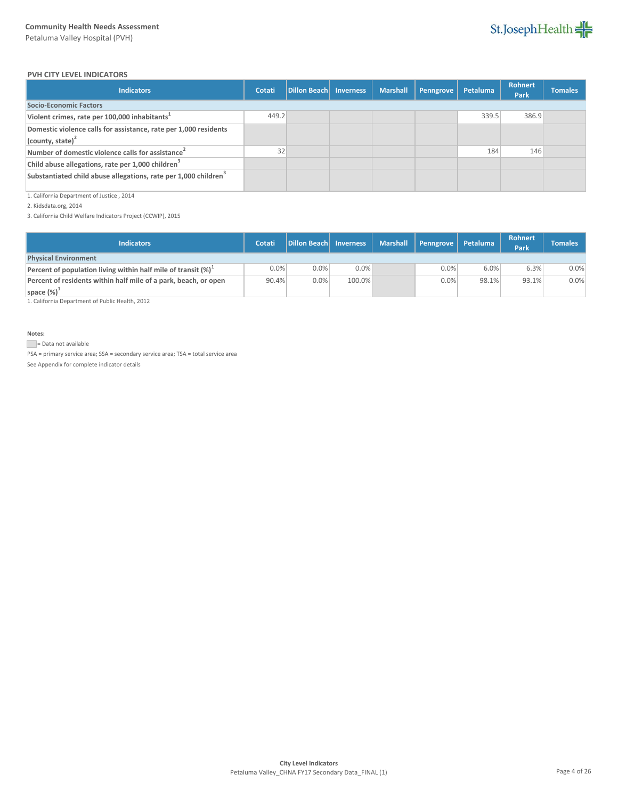

### **PVH CITY LEVEL INDICATORS**

| <b>Indicators</b>                                                                       | Cotati | Dillon Beach Inverness | <b>Marshall</b> | Penngrove | Petaluma | <b>Rohnert</b><br>Park | <b>Tomales</b> |
|-----------------------------------------------------------------------------------------|--------|------------------------|-----------------|-----------|----------|------------------------|----------------|
| Socio-Economic Factors                                                                  |        |                        |                 |           |          |                        |                |
| Violent crimes, rate per 100,000 inhabitants <sup>1</sup>                               | 449.2  |                        |                 |           | 339.5    | 386.9                  |                |
| Domestic violence calls for assistance, rate per 1,000 residents<br>(county, state) $2$ |        |                        |                 |           |          |                        |                |
| Number of domestic violence calls for assistance <sup>2</sup>                           | 32     |                        |                 |           | 184      | 146                    |                |
| Child abuse allegations, rate per 1,000 children <sup>3</sup>                           |        |                        |                 |           |          |                        |                |
| Substantiated child abuse allegations, rate per 1,000 children <sup>3</sup>             |        |                        |                 |           |          |                        |                |

1. California Department of Justice , 2014

2. Kidsdata.org, 2014

3. California Child Welfare Indicators Project (CCWIP), 2015

| <b>Indicators</b>                                                       | Cotati  | Dillon Beach Inverness |        | Marshall   Penngrove | Petaluma | <b>Rohnert</b><br>Park | <b>Tomales</b> |
|-------------------------------------------------------------------------|---------|------------------------|--------|----------------------|----------|------------------------|----------------|
| <b>Physical Environment</b>                                             |         |                        |        |                      |          |                        |                |
| Percent of population living within half mile of transit $(\%)^{\perp}$ | $0.0\%$ | 0.0%                   | 0.0%   | 0.0%                 | 6.0%     | 6.3%                   | 0.0%           |
| Percent of residents within half mile of a park, beach, or open         | 90.4%   | $0.0\%$                | 100.0% | 0.0%                 | 98.1%    | 93.1%                  | 0.0%           |
| space $(\%)^{\perp}$                                                    |         |                        |        |                      |          |                        |                |

1. California Department of Public Health, 2012

**Notes:**

Data not available

PSA = primary service area; SSA = secondary service area; TSA = total service area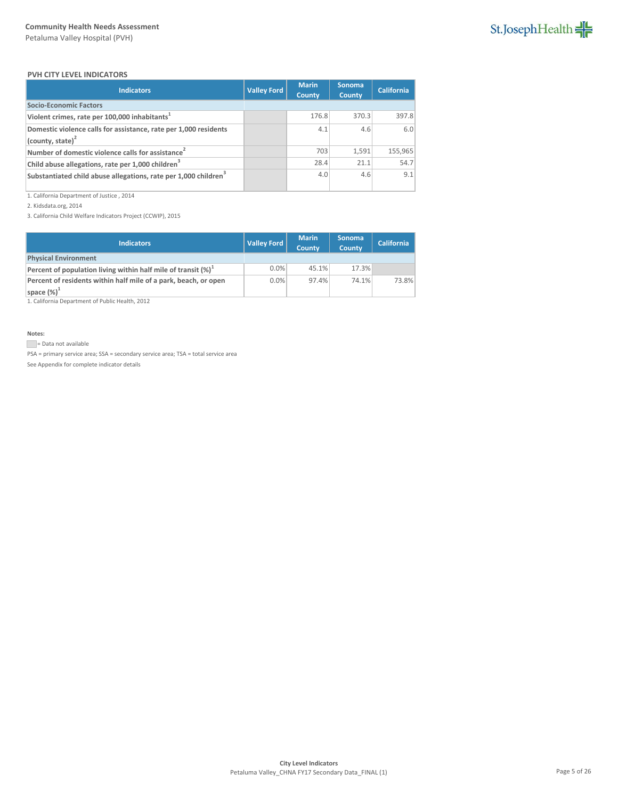

### **PVH CITY LEVEL INDICATORS**

| <b>Indicators</b>                                                           | <b>Valley Ford</b> | <b>Marin</b><br><b>County</b> | <b>Sonoma</b><br><b>County</b> | <b>California</b> |
|-----------------------------------------------------------------------------|--------------------|-------------------------------|--------------------------------|-------------------|
| <b>Socio-Economic Factors</b>                                               |                    |                               |                                |                   |
| Violent crimes, rate per 100,000 inhabitants <sup>1</sup>                   |                    | 176.8                         | 370.3                          | 397.8             |
| Domestic violence calls for assistance, rate per 1,000 residents            |                    | 4.1                           | 4.6                            | 6.0               |
| $\vert$ (county, state) <sup>2</sup>                                        |                    |                               |                                |                   |
| Number of domestic violence calls for assistance <sup>2</sup>               |                    | 703                           | 1,591                          | 155,965           |
| Child abuse allegations, rate per 1,000 children <sup>3</sup>               |                    | 28.4                          | 21.1                           | 54.7              |
| Substantiated child abuse allegations, rate per 1,000 children <sup>3</sup> |                    | 4.0                           | 4.6                            | 9.1               |

1. California Department of Justice , 2014

2. Kidsdata.org, 2014

3. California Child Welfare Indicators Project (CCWIP), 2015

| <b>Indicators</b>                                                 | <b>Valley Ford</b> | <b>Marin</b><br><b>County</b> | <b>Sonoma</b><br><b>County</b> | <b>California</b> |
|-------------------------------------------------------------------|--------------------|-------------------------------|--------------------------------|-------------------|
| <b>Physical Environment</b>                                       |                    |                               |                                |                   |
| Percent of population living within half mile of transit $(\%)^1$ | 0.0%               | 45.1%                         | 17.3%                          |                   |
| Percent of residents within half mile of a park, beach, or open   | 0.0%               | 97.4%                         | 74.1%                          | 73.8%             |
| space $(\%)^1$                                                    |                    |                               |                                |                   |

1. California Department of Public Health, 2012

**Notes:**

Data not available

PSA = primary service area; SSA = secondary service area; TSA = total service area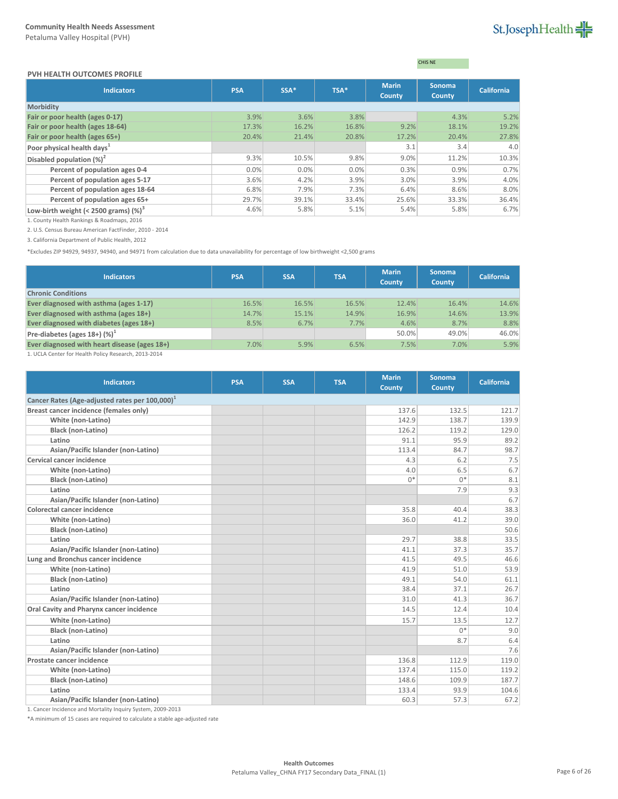### **PVH HEALTH OUTCOMES PROFILE**

CHIS NE

| <b>Indicators</b>                        | <b>PSA</b> | SSA*  | TSA*  | <b>Marin</b><br>County | Sonoma<br><b>County</b> | <b>California</b> |
|------------------------------------------|------------|-------|-------|------------------------|-------------------------|-------------------|
| <b>Morbidity</b>                         |            |       |       |                        |                         |                   |
| Fair or poor health (ages 0-17)          | 3.9%       | 3.6%  | 3.8%  |                        | 4.3%                    | 5.2%              |
| Fair or poor health (ages 18-64)         | 17.3%      | 16.2% | 16.8% | 9.2%                   | 18.1%                   | 19.2%             |
| Fair or poor health (ages 65+)           | 20.4%      | 21.4% | 20.8% | 17.2%                  | 20.4%                   | 27.8%             |
| Poor physical health days <sup>1</sup>   |            |       |       | 3.1                    | 3.4                     | 4.0               |
| Disabled population $(\%)^2$             | 9.3%       | 10.5% | 9.8%  | 9.0%                   | 11.2%                   | 10.3%             |
| Percent of population ages 0-4           | 0.0%       | 0.0%  | 0.0%  | 0.3%                   | 0.9%                    | 0.7%              |
| Percent of population ages 5-17          | 3.6%       | 4.2%  | 3.9%  | 3.0%                   | 3.9%                    | 4.0%              |
| Percent of population ages 18-64         | 6.8%       | 7.9%  | 7.3%  | 6.4%                   | 8.6%                    | 8.0%              |
| Percent of population ages 65+           | 29.7%      | 39.1% | 33.4% | 25.6%                  | 33.3%                   | 36.4%             |
| Low-birth weight (< 2500 grams) $(\%)^3$ | 4.6%       | 5.8%  | 5.1%  | 5.4%                   | 5.8%                    | 6.7%              |

1. County Health Rankings & Roadmaps, 2016

2. U.S. Census Bureau American FactFinder, 2010 - 2014

3. California Department of Public Health, 2012

\*Excludes ZIP 94929, 94937, 94940, and 94971 from calculation due to data unavailability for percentage of low birthweight <2,500 grams

| <b>Indicators</b>                                                                     | <b>PSA</b> | <b>SSA</b> | <b>TSA</b> | <b>Marin</b><br><b>County</b> | <b>Sonoma</b><br><b>County</b> | <b>California</b> |
|---------------------------------------------------------------------------------------|------------|------------|------------|-------------------------------|--------------------------------|-------------------|
| <b>Chronic Conditions</b>                                                             |            |            |            |                               |                                |                   |
| Ever diagnosed with asthma (ages 1-17)                                                | 16.5%      | 16.5%      | 16.5%      | 12.4%                         | 16.4%                          | 14.6%             |
| Ever diagnosed with asthma (ages 18+)                                                 | 14.7%      | 15.1%      | 14.9%      | 16.9%                         | 14.6%                          | 13.9%             |
| Ever diagnosed with diabetes (ages 18+)                                               | 8.5%       | 6.7%       | 7.7%       | 4.6%                          | 8.7%                           | 8.8%              |
| Pre-diabetes (ages $18+$ ) (%) <sup>1</sup>                                           |            |            |            | 50.0%                         | 49.0%                          | 46.0%             |
| Ever diagnosed with heart disease (ages 18+)                                          | 7.0%       | 5.9%       | 6.5%       | 7.5%                          | 7.0%                           | 5.9%              |
| $\overline{a}$ is a $\overline{a}$ if the line is a second contract of $\overline{a}$ |            |            |            |                               |                                |                   |

1. UCLA Center for Health Policy Research, 2013-2014

| <b>Indicators</b>                                          | <b>PSA</b> | <b>SSA</b> | <b>TSA</b> | <b>Marin</b><br>County | <b>Sonoma</b><br><b>County</b> | <b>California</b> |  |  |  |
|------------------------------------------------------------|------------|------------|------------|------------------------|--------------------------------|-------------------|--|--|--|
| Cancer Rates (Age-adjusted rates per 100,000) <sup>1</sup> |            |            |            |                        |                                |                   |  |  |  |
| Breast cancer incidence (females only)                     |            |            |            | 137.6                  | 132.5                          | 121.7             |  |  |  |
| White (non-Latino)                                         |            |            |            | 142.9                  | 138.7                          | 139.9             |  |  |  |
| <b>Black (non-Latino)</b>                                  |            |            |            | 126.2                  | 119.2                          | 129.0             |  |  |  |
| Latino                                                     |            |            |            | 91.1                   | 95.9                           | 89.2              |  |  |  |
| Asian/Pacific Islander (non-Latino)                        |            |            |            | 113.4                  | 84.7                           | 98.7              |  |  |  |
| <b>Cervical cancer incidence</b>                           |            |            |            | 4.3                    | 6.2                            | 7.5               |  |  |  |
| White (non-Latino)                                         |            |            |            | 4.0                    | 6.5                            | 6.7               |  |  |  |
| <b>Black (non-Latino)</b>                                  |            |            |            | $0*$                   | $0*$                           | 8.1               |  |  |  |
| Latino                                                     |            |            |            |                        | 7.9                            | 9.3               |  |  |  |
| Asian/Pacific Islander (non-Latino)                        |            |            |            |                        |                                | 6.7               |  |  |  |
| <b>Colorectal cancer incidence</b>                         |            |            |            | 35.8                   | 40.4                           | 38.3              |  |  |  |
| White (non-Latino)                                         |            |            |            | 36.0                   | 41.2                           | 39.0              |  |  |  |
| <b>Black (non-Latino)</b>                                  |            |            |            |                        |                                | 50.6              |  |  |  |
| Latino                                                     |            |            |            | 29.7                   | 38.8                           | 33.5              |  |  |  |
| Asian/Pacific Islander (non-Latino)                        |            |            |            | 41.1                   | 37.3                           | 35.7              |  |  |  |
| Lung and Bronchus cancer incidence                         |            |            |            | 41.5                   | 49.5                           | 46.6              |  |  |  |
| White (non-Latino)                                         |            |            |            | 41.9                   | 51.0                           | 53.9              |  |  |  |
| Black (non-Latino)                                         |            |            |            | 49.1                   | 54.0                           | 61.1              |  |  |  |
| Latino                                                     |            |            |            | 38.4                   | 37.1                           | 26.7              |  |  |  |
| Asian/Pacific Islander (non-Latino)                        |            |            |            | 31.0                   | 41.3                           | 36.7              |  |  |  |
| Oral Cavity and Pharynx cancer incidence                   |            |            |            | 14.5                   | 12.4                           | 10.4              |  |  |  |
| White (non-Latino)                                         |            |            |            | 15.7                   | 13.5                           | 12.7              |  |  |  |
| <b>Black (non-Latino)</b>                                  |            |            |            |                        | $0*$                           | 9.0               |  |  |  |
| Latino                                                     |            |            |            |                        | 8.7                            | 6.4               |  |  |  |
| Asian/Pacific Islander (non-Latino)                        |            |            |            |                        |                                | 7.6               |  |  |  |
| Prostate cancer incidence                                  |            |            |            | 136.8                  | 112.9                          | 119.0             |  |  |  |
| White (non-Latino)                                         |            |            |            | 137.4                  | 115.0                          | 119.2             |  |  |  |
| <b>Black (non-Latino)</b>                                  |            |            |            | 148.6                  | 109.9                          | 187.7             |  |  |  |
| Latino                                                     |            |            |            | 133.4                  | 93.9                           | 104.6             |  |  |  |
| Asian/Pacific Islander (non-Latino)                        |            |            |            | 60.3                   | 57.3                           | 67.2              |  |  |  |

1. Cancer Incidence and Mortality Inquiry System, 2009-2013

\*A minimum of 15 cases are required to calculate a stable age-adjusted rate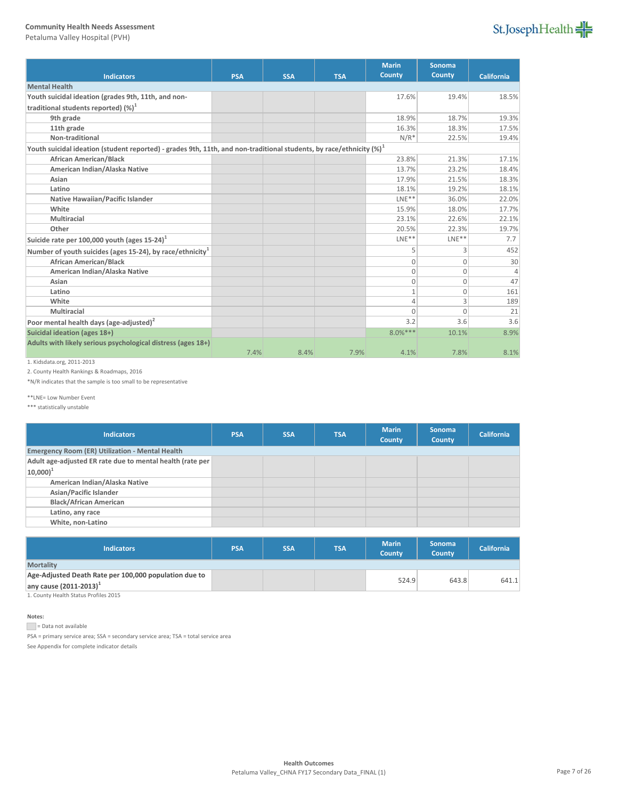Petaluma Valley Hospital (PVH)



|                                                                                                                         |            |            |            | <b>Marin</b>   | <b>Sonoma</b> |                   |
|-------------------------------------------------------------------------------------------------------------------------|------------|------------|------------|----------------|---------------|-------------------|
| <b>Indicators</b>                                                                                                       | <b>PSA</b> | <b>SSA</b> | <b>TSA</b> | <b>County</b>  | <b>County</b> | <b>California</b> |
| <b>Mental Health</b>                                                                                                    |            |            |            |                |               |                   |
| Youth suicidal ideation (grades 9th, 11th, and non-                                                                     |            |            |            | 17.6%          | 19.4%         | 18.5%             |
| traditional students reported) (%) <sup>1</sup>                                                                         |            |            |            |                |               |                   |
| 9th grade                                                                                                               |            |            |            | 18.9%          | 18.7%         | 19.3%             |
| 11th grade                                                                                                              |            |            |            | 16.3%          | 18.3%         | 17.5%             |
| Non-traditional                                                                                                         |            |            |            | $N/R^*$        | 22.5%         | 19.4%             |
| Youth suicidal ideation (student reported) - grades 9th, 11th, and non-traditional students, by race/ethnicity $(\%)^1$ |            |            |            |                |               |                   |
| <b>African American/Black</b>                                                                                           |            |            |            | 23.8%          | 21.3%         | 17.1%             |
| American Indian/Alaska Native                                                                                           |            |            |            | 13.7%          | 23.2%         | 18.4%             |
| Asian                                                                                                                   |            |            |            | 17.9%          | 21.5%         | 18.3%             |
| Latino                                                                                                                  |            |            |            | 18.1%          | 19.2%         | 18.1%             |
| Native Hawaiian/Pacific Islander                                                                                        |            |            |            | $LNE**$        | 36.0%         | 22.0%             |
| White                                                                                                                   |            |            |            | 15.9%          | 18.0%         | 17.7%             |
| Multiracial                                                                                                             |            |            |            | 23.1%          | 22.6%         | 22.1%             |
| Other                                                                                                                   |            |            |            | 20.5%          | 22.3%         | 19.7%             |
| Suicide rate per 100,000 youth (ages 15-24) <sup>1</sup>                                                                |            |            |            | $LNE**$        | $LNE**$       | 7.7               |
| Number of youth suicides (ages 15-24), by race/ethnicity <sup>1</sup>                                                   |            |            |            | 5              | 3             | 452               |
| <b>African American/Black</b>                                                                                           |            |            |            | $\mathbf{0}$   | $\mathbf{0}$  | 30                |
| American Indian/Alaska Native                                                                                           |            |            |            | $\overline{0}$ | $\mathbf{0}$  | $\Delta$          |
| Asian                                                                                                                   |            |            |            | $\mathbf{0}$   | $\mathbf{0}$  | 47                |
| Latino                                                                                                                  |            |            |            | $1\,$          | $\mathbf 0$   | 161               |
| White                                                                                                                   |            |            |            | 4              | 3             | 189               |
| Multiracial                                                                                                             |            |            |            | $\Omega$       | $\Omega$      | 21                |
| Poor mental health days (age-adjusted) <sup>2</sup>                                                                     |            |            |            | 3.2            | 3.6           | 3.6               |
| Suicidal ideation (ages 18+)                                                                                            |            |            |            | $8.0%***$      | 10.1%         | 8.9%              |
| Adults with likely serious psychological distress (ages 18+)                                                            |            |            |            |                |               |                   |
|                                                                                                                         | 7.4%       | 8.4%       | 7.9%       | 4.1%           | 7.8%          | 8.1%              |

1. Kidsdata.org, 2011-2013

2. County Health Rankings & Roadmaps, 2016

\*N/R indicates that the sample is too small to be representative

\*\*LNE= Low Number Event

\*\*\* statistically unstable

| <b>Indicators</b>                                         | <b>PSA</b> | <b>SSA</b> | <b>TSA</b> | <b>Marin</b><br>County | <b>Sonoma</b><br><b>County</b> | California |
|-----------------------------------------------------------|------------|------------|------------|------------------------|--------------------------------|------------|
| <b>Emergency Room (ER) Utilization - Mental Health</b>    |            |            |            |                        |                                |            |
| Adult age-adjusted ER rate due to mental health (rate per |            |            |            |                        |                                |            |
| $ 10,000 ^{1}$                                            |            |            |            |                        |                                |            |
| American Indian/Alaska Native                             |            |            |            |                        |                                |            |
| Asian/Pacific Islander                                    |            |            |            |                        |                                |            |
| <b>Black/African American</b>                             |            |            |            |                        |                                |            |
| Latino, any race                                          |            |            |            |                        |                                |            |
| White, non-Latino                                         |            |            |            |                        |                                |            |
|                                                           |            |            |            |                        |                                |            |

| <b>Indicators</b>                                     | <b>PSA</b> | <b>SSA</b> | <b>TSA</b> | <b>Marin</b><br><b>County</b> | <b>Sonoma</b><br><b>County</b> | <b>California</b> |
|-------------------------------------------------------|------------|------------|------------|-------------------------------|--------------------------------|-------------------|
| <b>Mortality</b>                                      |            |            |            |                               |                                |                   |
| Age-Adjusted Death Rate per 100,000 population due to |            |            |            |                               |                                |                   |
| any cause $(2011 - 2013)^{1}$                         |            |            |            | 524.9                         | 643.8                          | 641.1             |
| 4. Constructionally Chapters Deadline 2045            |            |            |            |                               |                                |                   |

1. County Health Status Profiles 2015

### **Notes:**

Data not available

PSA = primary service area; SSA = secondary service area; TSA = total service area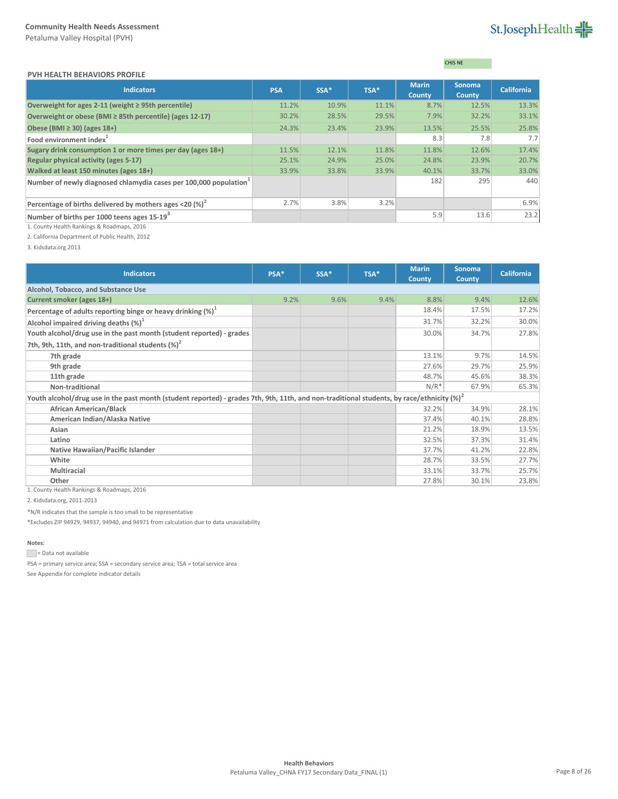# St.JosephHealth

| <b>PVH HEALTH BEHAVIORS PROFILE</b> |  |
|-------------------------------------|--|
|                                     |  |

# CHIS NE

| <b>Indicators</b>                                                       | <b>PSA</b> | SSA*  | TSA*  | <b>Marin</b><br><b>County</b> | <b>Sonoma</b><br><b>County</b> | <b>California</b> |
|-------------------------------------------------------------------------|------------|-------|-------|-------------------------------|--------------------------------|-------------------|
| Overweight for ages 2-11 (weight $\geq$ 95th percentile)                | 11.2%      | 10.9% | 11.1% | 8.7%                          | 12.5%                          | 13.3%             |
| Overweight or obese (BMI ≥ 85th percentile) (ages 12-17)                | 30.2%      | 28.5% | 29.5% | 7.9%                          | 32.2%                          | 33.1%             |
| Obese (BMI $\geq$ 30) (ages 18+)                                        | 24.3%      | 23.4% | 23.9% | 13.5%                         | 25.5%                          | 25.8%             |
| Food environment index <sup>1</sup>                                     |            |       |       | 8.3                           | 7.8                            | 7.7               |
| Sugary drink consumption 1 or more times per day (ages 18+)             | 11.5%      | 12.1% | 11.8% | 11.8%                         | 12.6%                          | 17.4%             |
| <b>Regular physical activity (ages 5-17)</b>                            | 25.1%      | 24.9% | 25.0% | 24.8%                         | 23.9%                          | 20.7%             |
| Walked at least 150 minutes (ages 18+)                                  | 33.9%      | 33.8% | 33.9% | 40.1%                         | 33.7%                          | 33.0%             |
| Number of newly diagnosed chlamydia cases per 100,000 population        |            |       |       | 182                           | 295                            | 440               |
| Percentage of births delivered by mothers ages <20 $\left(\% \right)^2$ | 2.7%       | 3.8%  | 3.2%  |                               |                                | 6.9%              |
| Number of births per 1000 teens ages 15-19 <sup>3</sup>                 |            |       |       | 5.9                           | 13.6                           | 23.2              |

1. County Health Rankings & Roadmaps, 2016

2. California Department of Public Health, 2012

3. Kidsdata.org 2013

| <b>Indicators</b>                                                                                                                                          | PSA* | SSA* | TSA* | <b>Marin</b><br><b>County</b> | <b>Sonoma</b><br>County | <b>California</b> |
|------------------------------------------------------------------------------------------------------------------------------------------------------------|------|------|------|-------------------------------|-------------------------|-------------------|
| Alcohol, Tobacco, and Substance Use                                                                                                                        |      |      |      |                               |                         |                   |
| Current smoker (ages 18+)                                                                                                                                  | 9.2% | 9.6% | 9.4% | 8.8%                          | 9.4%                    | 12.6%             |
| Percentage of adults reporting binge or heavy drinking $(\%)^1$                                                                                            |      |      |      | 18.4%                         | 17.5%                   | 17.2%             |
| Alcohol impaired driving deaths $(\%)^1$                                                                                                                   |      |      |      | 31.7%                         | 32.2%                   | 30.0%             |
| Youth alcohol/drug use in the past month (student reported) - grades                                                                                       |      |      |      | 30.0%                         | 34.7%                   | 27.8%             |
| 7th, 9th, 11th, and non-traditional students $(\%)^2$                                                                                                      |      |      |      |                               |                         |                   |
| 7th grade                                                                                                                                                  |      |      |      | 13.1%                         | 9.7%                    | 14.5%             |
| 9th grade                                                                                                                                                  |      |      |      | 27.6%                         | 29.7%                   | 25.9%             |
| 11th grade                                                                                                                                                 |      |      |      | 48.7%                         | 45.6%                   | 38.3%             |
| Non-traditional                                                                                                                                            |      |      |      | $N/R^*$                       | 67.9%                   | 65.3%             |
| Youth alcohol/drug use in the past month (student reported) - grades 7th, 9th, 11th, and non-traditional students, by race/ethnicity $\left( \% \right)^2$ |      |      |      |                               |                         |                   |
| <b>African American/Black</b>                                                                                                                              |      |      |      | 32.2%                         | 34.9%                   | 28.1%             |
| American Indian/Alaska Native                                                                                                                              |      |      |      | 37.4%                         | 40.1%                   | 28.8%             |
| Asian                                                                                                                                                      |      |      |      | 21.2%                         | 18.9%                   | 13.5%             |
| Latino                                                                                                                                                     |      |      |      | 32.5%                         | 37.3%                   | 31.4%             |
| Native Hawaiian/Pacific Islander                                                                                                                           |      |      |      | 37.7%                         | 41.2%                   | 22.8%             |
| White                                                                                                                                                      |      |      |      | 28.7%                         | 33.5%                   | 27.7%             |
| <b>Multiracial</b>                                                                                                                                         |      |      |      | 33.1%                         | 33.7%                   | 25.7%             |
| Other<br>0.010                                                                                                                                             |      |      |      | 27.8%                         | 30.1%                   | 23.8%             |

1. County Health Rankings & Roadmaps, 2016

2. Kidsdata.org, 2011-2013

\*N/R indicates that the sample is too small to be representative

\*Excludes ZIP 94929, 94937, 94940, and 94971 from calculation due to data unavailability

# **Notes:**

Data not available

PSA = primary service area; SSA = secondary service area; TSA = total service area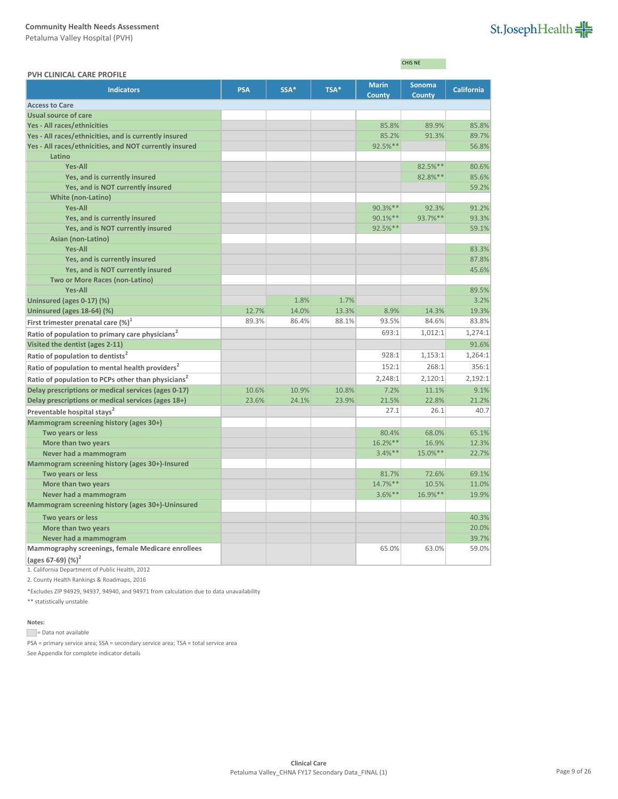Petaluma Valley Hospital (PVH)

| St.JosephHealth |  |
|-----------------|--|
|-----------------|--|

CHIS NE

| PVH CLINICAL CARE PROFILE                                          |            |       |       |                        |                                |                   |
|--------------------------------------------------------------------|------------|-------|-------|------------------------|--------------------------------|-------------------|
| <b>Indicators</b>                                                  | <b>PSA</b> | SSA*  | TSA*  | <b>Marin</b><br>County | <b>Sonoma</b><br><b>County</b> | <b>California</b> |
| <b>Access to Care</b>                                              |            |       |       |                        |                                |                   |
| <b>Usual source of care</b>                                        |            |       |       |                        |                                |                   |
| Yes - All races/ethnicities                                        |            |       |       | 85.8%                  | 89.9%                          | 85.8%             |
| Yes - All races/ethnicities, and is currently insured              |            |       |       | 85.2%                  | 91.3%                          | 89.7%             |
| Yes - All races/ethnicities, and NOT currently insured             |            |       |       | 92.5%**                |                                | 56.8%             |
| Latino                                                             |            |       |       |                        |                                |                   |
| <b>Yes-All</b>                                                     |            |       |       |                        | 82.5%**                        | 80.6%             |
| Yes, and is currently insured                                      |            |       |       |                        | 82.8%**                        | 85.6%             |
| Yes, and is NOT currently insured                                  |            |       |       |                        |                                | 59.2%             |
| <b>White (non-Latino)</b>                                          |            |       |       |                        |                                |                   |
| <b>Yes-All</b>                                                     |            |       |       | 90.3%**                | 92.3%                          | 91.2%             |
| Yes, and is currently insured                                      |            |       |       | 90.1%**                | 93.7%**                        | 93.3%             |
| Yes, and is NOT currently insured                                  |            |       |       | 92.5%**                |                                | 59.1%             |
| Asian (non-Latino)                                                 |            |       |       |                        |                                |                   |
| <b>Yes-All</b>                                                     |            |       |       |                        |                                | 83.3%             |
| Yes, and is currently insured                                      |            |       |       |                        |                                | 87.8%             |
| Yes, and is NOT currently insured                                  |            |       |       |                        |                                | 45.6%             |
| Two or More Races (non-Latino)                                     |            |       |       |                        |                                |                   |
| <b>Yes-All</b>                                                     |            |       |       |                        |                                | 89.5%             |
| Uninsured (ages 0-17) (%)                                          |            | 1.8%  | 1.7%  |                        |                                | 3.2%              |
| Uninsured (ages 18-64) (%)                                         | 12.7%      | 14.0% | 13.3% | 8.9%                   | 14.3%                          | 19.3%             |
| First trimester prenatal care $(\%)^1$                             | 89.3%      | 86.4% | 88.1% | 93.5%                  | 84.6%                          | 83.8%             |
| Ratio of population to primary care physicians <sup>2</sup>        |            |       |       | 693:1                  | 1,012:1                        | 1,274:1           |
| Visited the dentist (ages 2-11)                                    |            |       |       |                        |                                | 91.6%             |
| Ratio of population to dentists <sup>2</sup>                       |            |       |       | 928:1                  | 1,153:1                        | 1,264:1           |
| Ratio of population to mental health providers <sup>2</sup>        |            |       |       | 152:1                  | 268:1                          | 356:1             |
| Ratio of population to PCPs other than physicians <sup>2</sup>     |            |       |       | 2,248:1                | 2,120:1                        | 2,192:1           |
| Delay prescriptions or medical services (ages 0-17)                | 10.6%      | 10.9% | 10.8% | 7.2%                   | 11.1%                          | 9.1%              |
| Delay prescriptions or medical services (ages 18+)                 | 23.6%      | 24.1% | 23.9% | 21.5%                  | 22.8%                          | 21.2%             |
| Preventable hospital stays <sup>2</sup>                            |            |       |       | 27.1                   | 26.1                           | 40.7              |
| <b>Mammogram screening history (ages 30+)</b>                      |            |       |       |                        |                                |                   |
| Two years or less                                                  |            |       |       | 80.4%                  | 68.0%                          | 65.1%             |
| More than two years                                                |            |       |       | 16.2%**                | 16.9%                          | 12.3%             |
| Never had a mammogram                                              |            |       |       | $3.4%$ **              | 15.0%**                        | 22.7%             |
| Mammogram screening history (ages 30+)-Insured                     |            |       |       |                        |                                |                   |
| Two years or less                                                  |            |       |       | 81.7%                  | 72.6%                          | 69.1%             |
| More than two years                                                |            |       |       | 14.7%**                | 10.5%                          | 11.0%             |
| Never had a mammogram                                              |            |       |       | $3.6%$ **              | 16.9%**                        | 19.9%             |
| Mammogram screening history (ages 30+)-Uninsured                   |            |       |       |                        |                                |                   |
| Two years or less                                                  |            |       |       |                        |                                | 40.3%             |
| More than two years                                                |            |       |       |                        |                                | 20.0%             |
| Never had a mammogram                                              |            |       |       |                        |                                | 39.7%             |
| Mammography screenings, female Medicare enrollees<br>$\frac{1}{2}$ |            |       |       | 65.0%                  | 63.0%                          | 59.0%             |
|                                                                    |            |       |       |                        |                                |                   |

**(ages 67-69) (%)<sup>2</sup>**

1. California Department of Public Health, 2012

2. County Health Rankings & Roadmaps, 2016

\*Excludes ZIP 94929, 94937, 94940, and 94971 from calculation due to data unavailability

\*\* statistically unstable

### **Notes:**

= Data not available

PSA = primary service area; SSA = secondary service area; TSA = total service area See Appendix for complete indicator details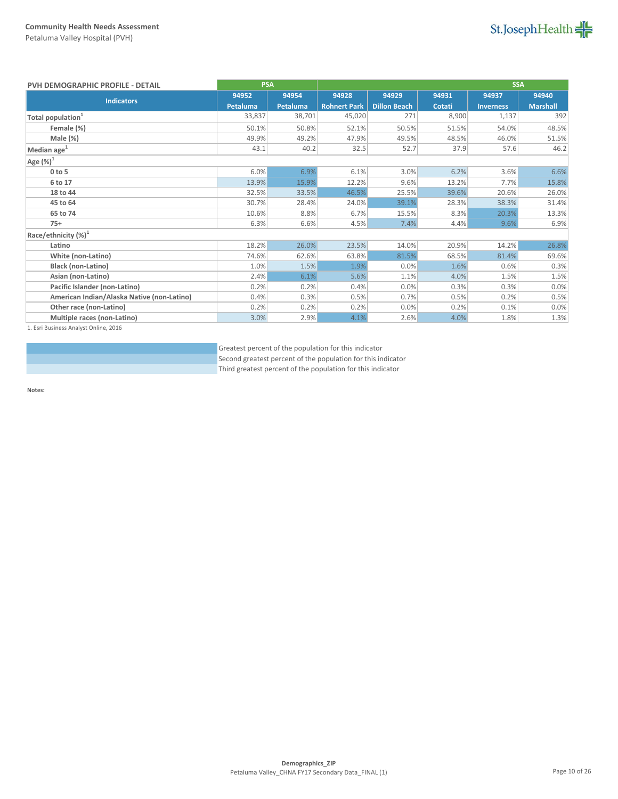

| PVH DEMOGRAPHIC PROFILE - DETAIL           | <b>PSA</b> |          |                     | <b>SSA</b>          |        |                  |                 |
|--------------------------------------------|------------|----------|---------------------|---------------------|--------|------------------|-----------------|
| <b>Indicators</b>                          | 94952      | 94954    | 94928               | 94929               | 94931  | 94937            | 94940           |
|                                            | Petaluma   | Petaluma | <b>Rohnert Park</b> | <b>Dillon Beach</b> | Cotati | <b>Inverness</b> | <b>Marshall</b> |
| Total population <sup>1</sup>              | 33,837     | 38,701   | 45,020              | 271                 | 8,900  | 1,137            | 392             |
| Female (%)                                 | 50.1%      | 50.8%    | 52.1%               | 50.5%               | 51.5%  | 54.0%            | 48.5%           |
| Male (%)                                   | 49.9%      | 49.2%    | 47.9%               | 49.5%               | 48.5%  | 46.0%            | 51.5%           |
| Median age <sup>1</sup>                    | 43.1       | 40.2     | 32.5                | 52.7                | 37.9   | 57.6             | 46.2            |
| Age $(%)^1$                                |            |          |                     |                     |        |                  |                 |
| $0$ to $5$                                 | 6.0%       | 6.9%     | 6.1%                | 3.0%                | 6.2%   | 3.6%             | 6.6%            |
| 6 to 17                                    | 13.9%      | 15.9%    | 12.2%               | 9.6%                | 13.2%  | 7.7%             | 15.8%           |
| 18 to 44                                   | 32.5%      | 33.5%    | 46.5%               | 25.5%               | 39.6%  | 20.6%            | 26.0%           |
| 45 to 64                                   | 30.7%      | 28.4%    | 24.0%               | 39.1%               | 28.3%  | 38.3%            | 31.4%           |
| 65 to 74                                   | 10.6%      | 8.8%     | 6.7%                | 15.5%               | 8.3%   | 20.3%            | 13.3%           |
| $75+$                                      | 6.3%       | 6.6%     | 4.5%                | 7.4%                | 4.4%   | 9.6%             | 6.9%            |
| Race/ethnicity $(\%)^1$                    |            |          |                     |                     |        |                  |                 |
| Latino                                     | 18.2%      | 26.0%    | 23.5%               | 14.0%               | 20.9%  | 14.2%            | 26.8%           |
| White (non-Latino)                         | 74.6%      | 62.6%    | 63.8%               | 81.5%               | 68.5%  | 81.4%            | 69.6%           |
| <b>Black (non-Latino)</b>                  | 1.0%       | 1.5%     | 1.9%                | 0.0%                | 1.6%   | 0.6%             | 0.3%            |
| Asian (non-Latino)                         | 2.4%       | 6.1%     | 5.6%                | 1.1%                | 4.0%   | 1.5%             | 1.5%            |
| Pacific Islander (non-Latino)              | 0.2%       | 0.2%     | 0.4%                | 0.0%                | 0.3%   | 0.3%             | 0.0%            |
| American Indian/Alaska Native (non-Latino) | 0.4%       | 0.3%     | 0.5%                | 0.7%                | 0.5%   | 0.2%             | 0.5%            |
| Other race (non-Latino)                    | 0.2%       | 0.2%     | 0.2%                | 0.0%                | 0.2%   | 0.1%             | 0.0%            |
| Multiple races (non-Latino)                | 3.0%       | 2.9%     | 4.1%                | 2.6%                | 4.0%   | 1.8%             | 1.3%            |

1. Esri Business Analyst Online, 2016

Greatest percent of the population for this indicator Second greatest percent of the population for this indicator Third greatest percent of the population for this indicator

**Notes:**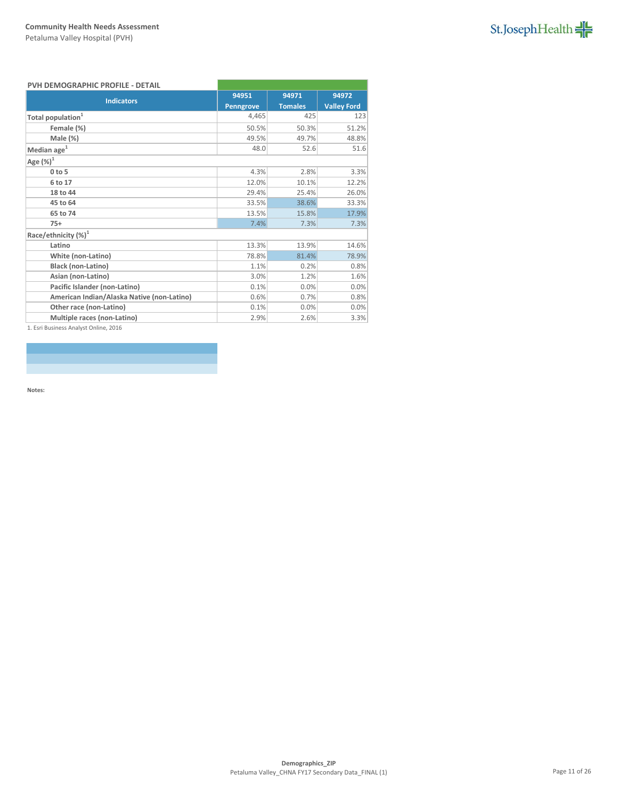

### **PVH DEMOGRAPHIC PROFILE - DETAIL**

| <b>Indicators</b>                          | 94951            | 94971          | 94972              |
|--------------------------------------------|------------------|----------------|--------------------|
|                                            | <b>Penngrove</b> | <b>Tomales</b> | <b>Valley Ford</b> |
| Total population <sup>1</sup>              | 4,465            | 425            | 123                |
| Female (%)                                 | 50.5%            | 50.3%          | 51.2%              |
| Male (%)                                   | 49.5%            | 49.7%          | 48.8%              |
| Median age <sup>1</sup>                    | 48.0             | 52.6           | 51.6               |
| Age $(\%)^1$                               |                  |                |                    |
| $0$ to $5$                                 | 4.3%             | 2.8%           | 3.3%               |
| 6 to 17                                    | 12.0%            | 10.1%          | 12.2%              |
| 18 to 44                                   | 29.4%            | 25.4%          | 26.0%              |
| 45 to 64                                   | 33.5%            | 38.6%          | 33.3%              |
| 65 to 74                                   | 13.5%            | 15.8%          | 17.9%              |
| $75+$                                      | 7.4%             | 7.3%           | 7.3%               |
| Race/ethnicity $(\%)^1$                    |                  |                |                    |
| Latino                                     | 13.3%            | 13.9%          | 14.6%              |
| White (non-Latino)                         | 78.8%            | 81.4%          | 78.9%              |
| <b>Black (non-Latino)</b>                  | 1.1%             | 0.2%           | 0.8%               |
| Asian (non-Latino)                         | 3.0%             | 1.2%           | 1.6%               |
| Pacific Islander (non-Latino)              | 0.1%             | 0.0%           | 0.0%               |
| American Indian/Alaska Native (non-Latino) | 0.6%             | 0.7%           | 0.8%               |
| Other race (non-Latino)                    | 0.1%             | 0.0%           | 0.0%               |
| Multiple races (non-Latino)                | 2.9%             | 2.6%           | 3.3%               |
|                                            |                  |                |                    |

1. Esri Business Analyst Online, 2016

**Notes:**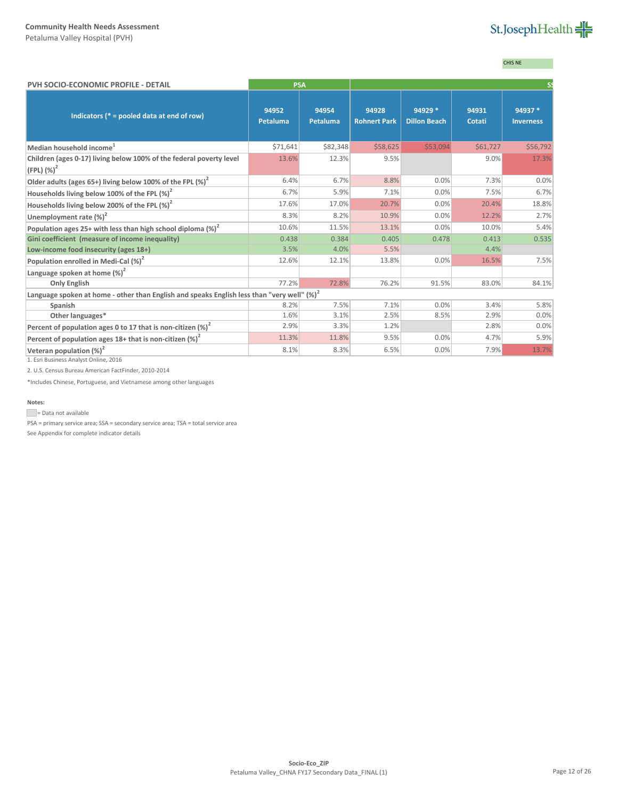Petaluma Valley Hospital (PVH)

# St.JosephHealth

# CHIS NE

| PVH SOCIO-ECONOMIC PROFILE - DETAIL                                                                    | <b>PSA</b>        |                          |                              |                                |                 |                             |
|--------------------------------------------------------------------------------------------------------|-------------------|--------------------------|------------------------------|--------------------------------|-----------------|-----------------------------|
| Indicators ( $* =$ pooled data at end of row)                                                          | 94952<br>Petaluma | 94954<br><b>Petaluma</b> | 94928<br><b>Rohnert Park</b> | 94929 *<br><b>Dillon Beach</b> | 94931<br>Cotati | 94937 *<br><b>Inverness</b> |
| Median household income <sup>1</sup>                                                                   | \$71,641          | \$82,348                 | \$58,625                     | \$53,094                       | \$61,727        | \$56,792                    |
| Children (ages 0-17) living below 100% of the federal poverty level                                    | 13.6%             | 12.3%                    | 9.5%                         |                                | 9.0%            | 17.3%                       |
| $(FPL)$ $(\%)^2$                                                                                       |                   |                          |                              |                                |                 |                             |
| Older adults (ages 65+) living below 100% of the FPL (%) <sup>2</sup>                                  | 6.4%              | 6.7%                     | 8.8%                         | 0.0%                           | 7.3%            | 0.0%                        |
| Households living below 100% of the FPL $(\%)^2$                                                       | 6.7%              | 5.9%                     | 7.1%                         | 0.0%                           | 7.5%            | 6.7%                        |
| Households living below 200% of the FPL $(\%)^2$                                                       | 17.6%             | 17.0%                    | 20.7%                        | 0.0%                           | 20.4%           | 18.8%                       |
| Unemployment rate $(\%)^2$                                                                             | 8.3%              | 8.2%                     | 10.9%                        | 0.0%                           | 12.2%           | 2.7%                        |
| Population ages 25+ with less than high school diploma $(\%)^2$                                        | 10.6%             | 11.5%                    | 13.1%                        | 0.0%                           | 10.0%           | 5.4%                        |
| Gini coefficient (measure of income inequality)                                                        | 0.438             | 0.384                    | 0.405                        | 0.478                          | 0.413           | 0.535                       |
| Low-income food insecurity (ages 18+)                                                                  | 3.5%              | 4.0%                     | 5.5%                         |                                | 4.4%            |                             |
| Population enrolled in Medi-Cal (%) <sup>2</sup>                                                       | 12.6%             | 12.1%                    | 13.8%                        | 0.0%                           | 16.5%           | 7.5%                        |
| Language spoken at home $(\%)^2$                                                                       |                   |                          |                              |                                |                 |                             |
| <b>Only English</b>                                                                                    | 77.2%             | 72.8%                    | 76.2%                        | 91.5%                          | 83.0%           | 84.1%                       |
| Language spoken at home - other than English and speaks English less than "very well" (%) <sup>2</sup> |                   |                          |                              |                                |                 |                             |
| Spanish                                                                                                | 8.2%              | 7.5%                     | 7.1%                         | 0.0%                           | 3.4%            | 5.8%                        |
| Other languages*                                                                                       | 1.6%              | 3.1%                     | 2.5%                         | 8.5%                           | 2.9%            | 0.0%                        |
| Percent of population ages 0 to 17 that is non-citizen $(\%)^2$                                        | 2.9%              | 3.3%                     | 1.2%                         |                                | 2.8%            | 0.0%                        |
| Percent of population ages $18+$ that is non-citizen (%) <sup>2</sup>                                  | 11.3%             | 11.8%                    | 9.5%                         | 0.0%                           | 4.7%            | 5.9%                        |
| Veteran population $(\%)^2$                                                                            | 8.1%              | 8.3%                     | 6.5%                         | 0.0%                           | 7.9%            | 13.7%                       |
| 1. Esri Business Analyst Online, 2016                                                                  |                   |                          |                              |                                |                 |                             |

2. U.S. Census Bureau American FactFinder, 2010-2014

\*Includes Chinese, Portuguese, and Vietnamese among other languages

#### **Notes:**

Data not available

PSA = primary service area; SSA = secondary service area; TSA = total service area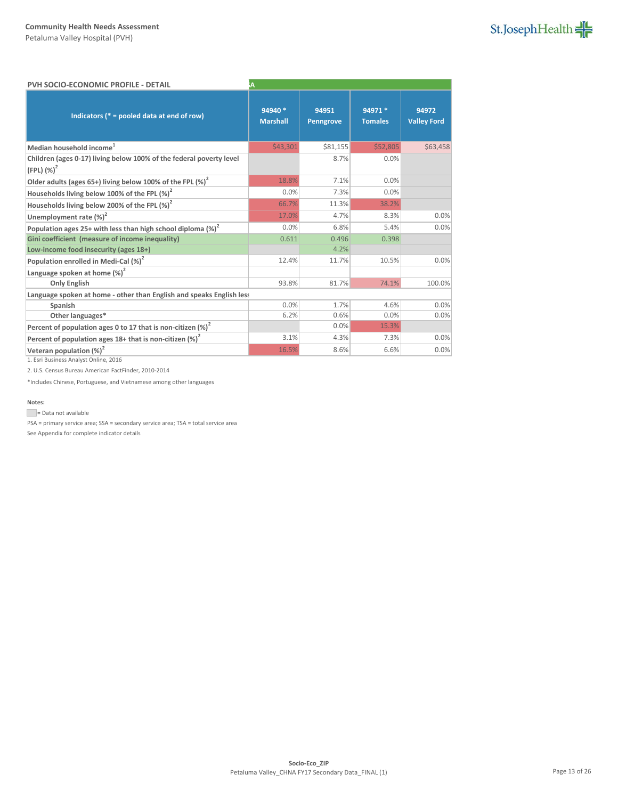Petaluma Valley Hospital (PVH)

| St.JosephHealth |  |
|-----------------|--|
|-----------------|--|

| <b>PVH SOCIO-ECONOMIC PROFILE - DETAIL</b>                                             | Α                          |                    |                           |                             |
|----------------------------------------------------------------------------------------|----------------------------|--------------------|---------------------------|-----------------------------|
| Indicators ( $* =$ pooled data at end of row)                                          | 94940 *<br><b>Marshall</b> | 94951<br>Penngrove | 94971 *<br><b>Tomales</b> | 94972<br><b>Valley Ford</b> |
| Median household income <sup>1</sup>                                                   | \$43,301                   | \$81,155           | \$52,805                  | \$63,458                    |
| Children (ages 0-17) living below 100% of the federal poverty level<br>$(FPL)$ $(%)^2$ |                            | 8.7%               | 0.0%                      |                             |
| Older adults (ages 65+) living below 100% of the FPL $(\%)^2$                          | 18.8%                      | 7.1%               | 0.0%                      |                             |
| Households living below 100% of the FPL $(\%)^2$                                       | 0.0%                       | 7.3%               | 0.0%                      |                             |
| Households living below 200% of the FPL (%) <sup>2</sup>                               | 66.7%                      | 11.3%              | 38.2%                     |                             |
| Unemployment rate $(\%)^2$                                                             | 17.0%                      | 4.7%               | 8.3%                      | 0.0%                        |
| Population ages 25+ with less than high school diploma $\left(\% \right)^2$            | 0.0%                       | 6.8%               | 5.4%                      | 0.0%                        |
| Gini coefficient (measure of income inequality)                                        | 0.611                      | 0.496              | 0.398                     |                             |
| Low-income food insecurity (ages 18+)                                                  |                            | 4.2%               |                           |                             |
| Population enrolled in Medi-Cal $(\%)^2$                                               | 12.4%                      | 11.7%              | 10.5%                     | 0.0%                        |
| Language spoken at home $(\%)^2$                                                       |                            |                    |                           |                             |
| <b>Only English</b>                                                                    | 93.8%                      | 81.7%              | 74.1%                     | 100.0%                      |
| Language spoken at home - other than English and speaks English less                   |                            |                    |                           |                             |
| Spanish                                                                                | 0.0%                       | 1.7%               | 4.6%                      | 0.0%                        |
| Other languages*                                                                       | 6.2%                       | 0.6%               | 0.0%                      | 0.0%                        |
| Percent of population ages 0 to 17 that is non-citizen $(\%)^2$                        |                            | 0.0%               | 15.3%                     |                             |
| Percent of population ages $18+$ that is non-citizen $(\%)^2$                          | 3.1%                       | 4.3%               | 7.3%                      | 0.0%                        |
| Veteran population $(\%)^2$<br><b>CONTRACTORS AND LOCATED</b>                          | 16.5%                      | 8.6%               | 6.6%                      | 0.0%                        |

1. Esri Business Analyst Online, 2016

2. U.S. Census Bureau American FactFinder, 2010-2014

\*Includes Chinese, Portuguese, and Vietnamese among other languages

### **Notes:**

Data not available

PSA = primary service area; SSA = secondary service area; TSA = total service area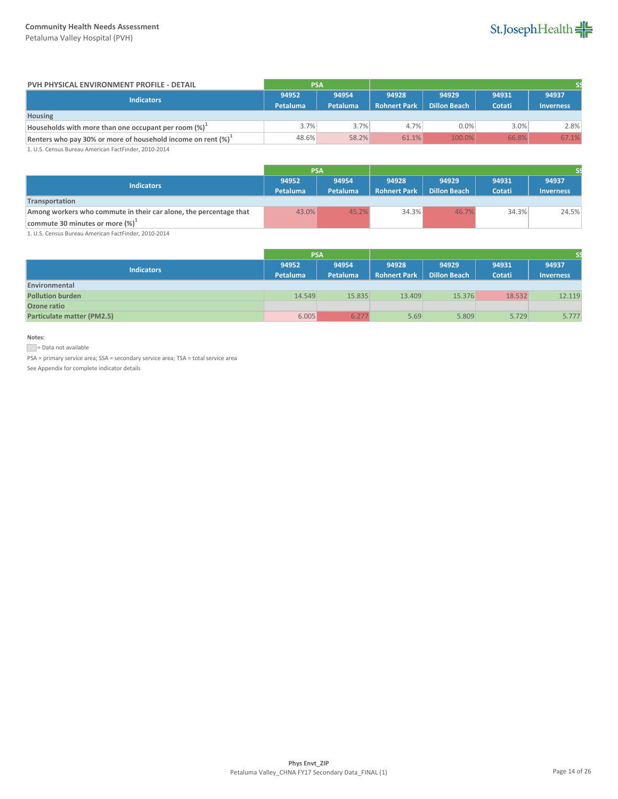Petaluma Valley Hospital (PVH)



| PVH PHYSICAL ENVIRONMENT PROFILE - DETAIL                        | <b>PSA</b> |          |                     |                     |        |                  |
|------------------------------------------------------------------|------------|----------|---------------------|---------------------|--------|------------------|
| Indicators                                                       | 94952      | 94954    | 94928               | 94929               | 94931  | 94937            |
|                                                                  | Petaluma   | Petaluma | <b>Rohnert Park</b> | <b>Dillon Beach</b> | Cotati | <b>Inverness</b> |
| <b>Housing</b>                                                   |            |          |                     |                     |        |                  |
| Households with more than one occupant per room (%) <sup>+</sup> | 3.7%       | 3.7%     | 4.7%                | 0.0%                | 3.0%   | 2.8%             |
| Renters who pay 30% or more of household income on rent $(\%)^1$ | 48.6%      | 58.2%    | 61.1%               | 100.0%              | 66.8%  | 67.1%            |

1. U.S. Census Bureau American FactFinder, 2010-2014

|                                                                   | <b>PSA</b> |          |                     |                     |        |                  |
|-------------------------------------------------------------------|------------|----------|---------------------|---------------------|--------|------------------|
| <b>Indicators</b>                                                 | 94952      | 94954    | 94928               | 94929               | 94931  | 94937            |
|                                                                   | Petaluma   | Petaluma | <b>Rohnert Park</b> | <b>Dillon Beach</b> | Cotati | <b>Inverness</b> |
| Transportation                                                    |            |          |                     |                     |        |                  |
| Among workers who commute in their car alone, the percentage that | 43.0%      | 45.2%    | 34.3%               | 46.7%               | 34.3%  | 24.5%            |
| commute 30 minutes or more $(\%)^{\perp}$                         |            |          |                     |                     |        |                  |

1. U.S. Census Bureau American FactFinder, 2010-2014

|                                   | <b>PSA</b> |                 |                     |                     |        |                  |
|-----------------------------------|------------|-----------------|---------------------|---------------------|--------|------------------|
| <b>Indicators</b>                 | 94952      | 94954           | 94928               | 94929               | 94931  | 94937            |
|                                   | Petaluma   | <b>Petaluma</b> | <b>Rohnert Park</b> | <b>Dillon Beach</b> | Cotati | <b>Inverness</b> |
| Environmental                     |            |                 |                     |                     |        |                  |
| <b>Pollution burden</b>           | 14.549     | 15.835          | 13.409              | 15.376              | 18.532 | 12.119           |
| Ozone ratio                       |            |                 |                     |                     |        |                  |
| <b>Particulate matter (PM2.5)</b> | 6.005      | 6.277           | 5.69                | 5.809               | 5.729  | 5.777            |

## **Notes:**

= Data not available

PSA = primary service area; SSA = secondary service area; TSA = total service area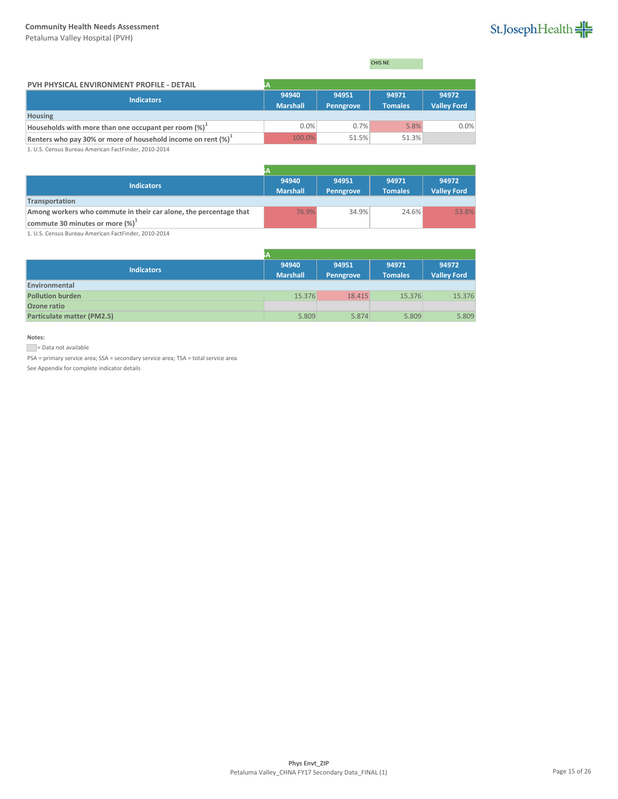Petaluma Valley Hospital (PVH)

# St.JosephHealth

CHIS NE

| PVH PHYSICAL ENVIRONMENT PROFILE - DETAIL                        |                          |                    |                         |                             |
|------------------------------------------------------------------|--------------------------|--------------------|-------------------------|-----------------------------|
| <b>Indicators</b>                                                | 94940<br><b>Marshall</b> | 94951<br>Penngrove | 94971<br><b>Tomales</b> | 94972<br><b>Valley Ford</b> |
| <b>Housing</b>                                                   |                          |                    |                         |                             |
| Households with more than one occupant per room $(\%)^{\perp}$   | 0.0%                     | 0.7%               | 5.8%                    | 0.0%                        |
| Renters who pay 30% or more of household income on rent $(\%)^1$ | 100.0%                   | 51.5%              | 51.3%                   |                             |

1. U.S. Census Bureau American FactFinder, 2010-2014

| <b>Indicators</b>                                                 | 94940           | 94951            | 94971          | 94972              |
|-------------------------------------------------------------------|-----------------|------------------|----------------|--------------------|
|                                                                   | <b>Marshall</b> | <b>Penngrove</b> | <b>Tomales</b> | <b>Valley Ford</b> |
| Transportation                                                    |                 |                  |                |                    |
| Among workers who commute in their car alone, the percentage that | 76.9%           | 34.9%            | 24.6%          | 53.8%              |
| commute 30 minutes or more $(\%)^1$                               |                 |                  |                |                    |

1. U.S. Census Bureau American FactFinder, 2010-2014

|                            | ìА                       |                    |                         |                             |
|----------------------------|--------------------------|--------------------|-------------------------|-----------------------------|
| <b>Indicators</b>          | 94940<br><b>Marshall</b> | 94951<br>Penngrove | 94971<br><b>Tomales</b> | 94972<br><b>Valley Ford</b> |
| Environmental              |                          |                    |                         |                             |
| <b>Pollution burden</b>    | 15.376                   | 18.415             | 15.376                  | 15.376                      |
| Ozone ratio                |                          |                    |                         |                             |
| Particulate matter (PM2.5) | 5.809                    | 5.874              | 5.809                   | 5.809                       |

# **Notes:**

= Data not available

PSA = primary service area; SSA = secondary service area; TSA = total service area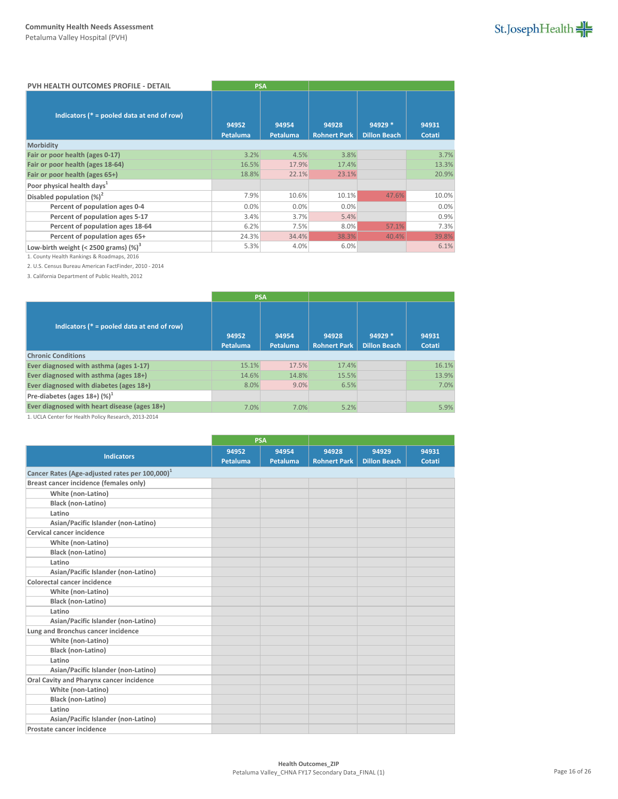| PVH HEALTH OUTCOMES PROFILE - DETAIL          | <b>PSA</b>               |                   |                              |                                |                 |
|-----------------------------------------------|--------------------------|-------------------|------------------------------|--------------------------------|-----------------|
| Indicators ( $* =$ pooled data at end of row) | 94952<br><b>Petaluma</b> | 94954<br>Petaluma | 94928<br><b>Rohnert Park</b> | 94929 *<br><b>Dillon Beach</b> | 94931<br>Cotati |
| Morbidity                                     |                          |                   |                              |                                |                 |
| Fair or poor health (ages 0-17)               | 3.2%                     | 4.5%              | 3.8%                         |                                | 3.7%            |
| Fair or poor health (ages 18-64)              | 16.5%                    | 17.9%             | 17.4%                        |                                | 13.3%           |
| Fair or poor health (ages 65+)                | 18.8%                    | 22.1%             | 23.1%                        |                                | 20.9%           |
| Poor physical health days <sup>1</sup>        |                          |                   |                              |                                |                 |
| Disabled population $(\%)^2$                  | 7.9%                     | 10.6%             | 10.1%                        | 47.6%                          | 10.0%           |
| Percent of population ages 0-4                | 0.0%                     | 0.0%              | 0.0%                         |                                | 0.0%            |
| Percent of population ages 5-17               | 3.4%                     | 3.7%              | 5.4%                         |                                | 0.9%            |
| Percent of population ages 18-64              | 6.2%                     | 7.5%              | 8.0%                         | 57.1%                          | 7.3%            |
| Percent of population ages 65+                | 24.3%                    | 34.4%             | 38.3%                        | 40.4%                          | 39.8%           |
| Low-birth weight (< 2500 grams) $(\%)^3$      | 5.3%                     | 4.0%              | 6.0%                         |                                | 6.1%            |

1. County Health Rankings & Roadmaps, 2016

2. U.S. Census Bureau American FactFinder, 2010 - 2014

3. California Department of Public Health, 2012

|                                               | <b>PSA</b>        |                   |                              |                                 |                 |
|-----------------------------------------------|-------------------|-------------------|------------------------------|---------------------------------|-----------------|
| Indicators ( $* =$ pooled data at end of row) | 94952<br>Petaluma | 94954<br>Petaluma | 94928<br><b>Rohnert Park</b> | $94929*$<br><b>Dillon Beach</b> | 94931<br>Cotati |
| <b>Chronic Conditions</b>                     |                   |                   |                              |                                 |                 |
| Ever diagnosed with asthma (ages 1-17)        | 15.1%             | 17.5%             | 17.4%                        |                                 | 16.1%           |
| Ever diagnosed with asthma (ages 18+)         | 14.6%             | 14.8%             | 15.5%                        |                                 | 13.9%           |
| Ever diagnosed with diabetes (ages 18+)       | 8.0%              | 9.0%              | 6.5%                         |                                 | 7.0%            |
| Pre-diabetes (ages $18+$ ) (%) <sup>1</sup>   |                   |                   |                              |                                 |                 |
| Ever diagnosed with heart disease (ages 18+)  | 7.0%              | 7.0%              | 5.2%                         |                                 | 5.9%            |

1. UCLA Center for Health Policy Research, 2013-2014

|                                                            | <b>PSA</b> |          |                     |                     |        |
|------------------------------------------------------------|------------|----------|---------------------|---------------------|--------|
| <b>Indicators</b>                                          | 94952      | 94954    | 94928               | 94929               | 94931  |
|                                                            | Petaluma   | Petaluma | <b>Rohnert Park</b> | <b>Dillon Beach</b> | Cotati |
| Cancer Rates (Age-adjusted rates per 100,000) <sup>1</sup> |            |          |                     |                     |        |
| Breast cancer incidence (females only)                     |            |          |                     |                     |        |
| White (non-Latino)                                         |            |          |                     |                     |        |
| <b>Black (non-Latino)</b>                                  |            |          |                     |                     |        |
| Latino                                                     |            |          |                     |                     |        |
| Asian/Pacific Islander (non-Latino)                        |            |          |                     |                     |        |
| Cervical cancer incidence                                  |            |          |                     |                     |        |
| White (non-Latino)                                         |            |          |                     |                     |        |
| Black (non-Latino)                                         |            |          |                     |                     |        |
| Latino                                                     |            |          |                     |                     |        |
| Asian/Pacific Islander (non-Latino)                        |            |          |                     |                     |        |
| Colorectal cancer incidence                                |            |          |                     |                     |        |
| White (non-Latino)                                         |            |          |                     |                     |        |
| <b>Black (non-Latino)</b>                                  |            |          |                     |                     |        |
| Latino                                                     |            |          |                     |                     |        |
| Asian/Pacific Islander (non-Latino)                        |            |          |                     |                     |        |
| Lung and Bronchus cancer incidence                         |            |          |                     |                     |        |
| White (non-Latino)                                         |            |          |                     |                     |        |
| <b>Black (non-Latino)</b>                                  |            |          |                     |                     |        |
| Latino                                                     |            |          |                     |                     |        |
| Asian/Pacific Islander (non-Latino)                        |            |          |                     |                     |        |
| Oral Cavity and Pharynx cancer incidence                   |            |          |                     |                     |        |
| White (non-Latino)                                         |            |          |                     |                     |        |
| Black (non-Latino)                                         |            |          |                     |                     |        |
| Latino                                                     |            |          |                     |                     |        |
| Asian/Pacific Islander (non-Latino)                        |            |          |                     |                     |        |
| Prostate cancer incidence                                  |            |          |                     |                     |        |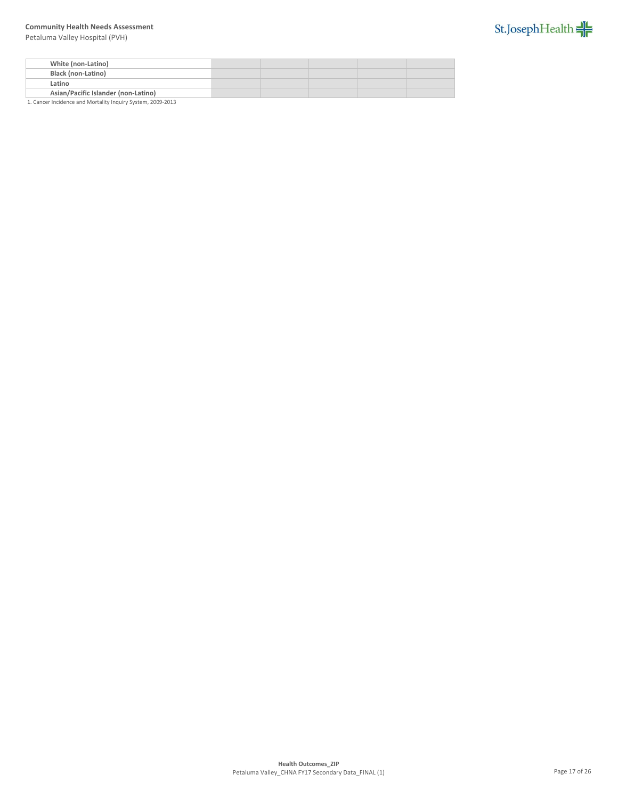Petaluma Valley Hospital (PVH)



| White (non-Latino)                  |  |  |  |
|-------------------------------------|--|--|--|
| <b>Black (non-Latino)</b>           |  |  |  |
| Latino                              |  |  |  |
| Asian/Pacific Islander (non-Latino) |  |  |  |

1. Cancer Incidence and Mortality Inquiry System, 2009-2013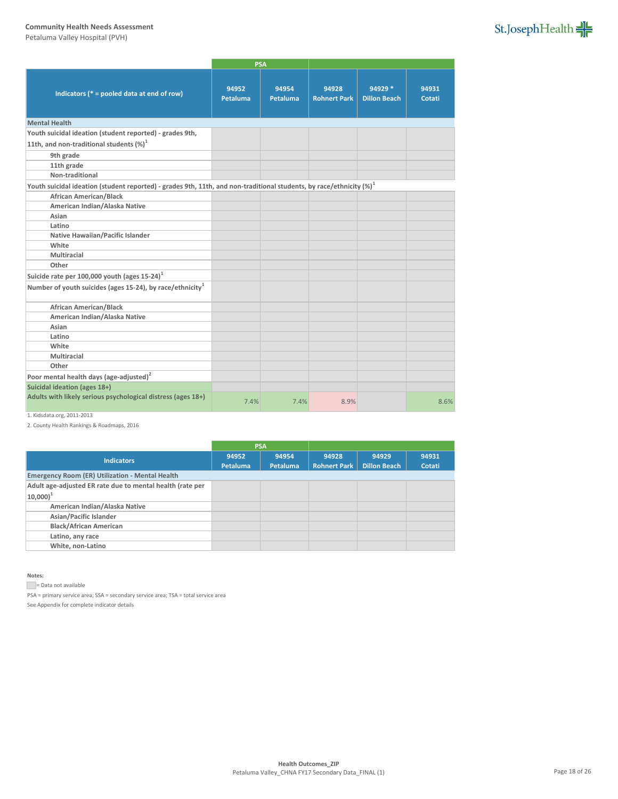Petaluma Valley Hospital (PVH)

|                                                                                                                         | <b>PSA</b>        |                   |                              |                                |                 |
|-------------------------------------------------------------------------------------------------------------------------|-------------------|-------------------|------------------------------|--------------------------------|-----------------|
| Indicators ( $* =$ pooled data at end of row)                                                                           | 94952<br>Petaluma | 94954<br>Petaluma | 94928<br><b>Rohnert Park</b> | 94929 *<br><b>Dillon Beach</b> | 94931<br>Cotati |
| <b>Mental Health</b>                                                                                                    |                   |                   |                              |                                |                 |
| Youth suicidal ideation (student reported) - grades 9th,                                                                |                   |                   |                              |                                |                 |
| 11th, and non-traditional students $(\%)^1$                                                                             |                   |                   |                              |                                |                 |
| 9th grade                                                                                                               |                   |                   |                              |                                |                 |
| 11th grade                                                                                                              |                   |                   |                              |                                |                 |
| Non-traditional                                                                                                         |                   |                   |                              |                                |                 |
| Youth suicidal ideation (student reported) - grades 9th, 11th, and non-traditional students, by race/ethnicity $(\%)^1$ |                   |                   |                              |                                |                 |
| <b>African American/Black</b>                                                                                           |                   |                   |                              |                                |                 |
| American Indian/Alaska Native                                                                                           |                   |                   |                              |                                |                 |
| Asian                                                                                                                   |                   |                   |                              |                                |                 |
| Latino                                                                                                                  |                   |                   |                              |                                |                 |
| Native Hawaiian/Pacific Islander                                                                                        |                   |                   |                              |                                |                 |
| White                                                                                                                   |                   |                   |                              |                                |                 |
| Multiracial                                                                                                             |                   |                   |                              |                                |                 |
| Other                                                                                                                   |                   |                   |                              |                                |                 |
| Suicide rate per 100,000 youth (ages $15-24$ ) <sup>1</sup>                                                             |                   |                   |                              |                                |                 |
| Number of youth suicides (ages 15-24), by race/ethnicity <sup>1</sup>                                                   |                   |                   |                              |                                |                 |
| <b>African American/Black</b>                                                                                           |                   |                   |                              |                                |                 |
| American Indian/Alaska Native                                                                                           |                   |                   |                              |                                |                 |
| Asian                                                                                                                   |                   |                   |                              |                                |                 |
| Latino                                                                                                                  |                   |                   |                              |                                |                 |
| White                                                                                                                   |                   |                   |                              |                                |                 |
| Multiracial                                                                                                             |                   |                   |                              |                                |                 |
| Other                                                                                                                   |                   |                   |                              |                                |                 |
| Poor mental health days (age-adjusted) <sup>2</sup>                                                                     |                   |                   |                              |                                |                 |
| Suicidal ideation (ages 18+)                                                                                            |                   |                   |                              |                                |                 |
| Adults with likely serious psychological distress (ages 18+)                                                            | 7.4%              | 7.4%              | 8.9%                         |                                | 8.6%            |

# 1. Kidsdata.org, 2011-2013

2. County Health Rankings & Roadmaps, 2016

| 94952           | 94954    | 94928               | 94929               | 94931  |
|-----------------|----------|---------------------|---------------------|--------|
| <b>Petaluma</b> | Petaluma | <b>Rohnert Park</b> | <b>Dillon Beach</b> | Cotati |
|                 |          |                     |                     |        |
|                 |          |                     |                     |        |
|                 |          |                     |                     |        |
|                 |          |                     |                     |        |
|                 |          |                     |                     |        |
|                 |          |                     |                     |        |
|                 |          |                     |                     |        |
|                 |          |                     |                     |        |
|                 |          | <b>PSA</b>          |                     |        |

#### **Notes:**

Data not available

PSA = primary service area; SSA = secondary service area; TSA = total service area

See Appendix for complete indicator details

St.JosephHealth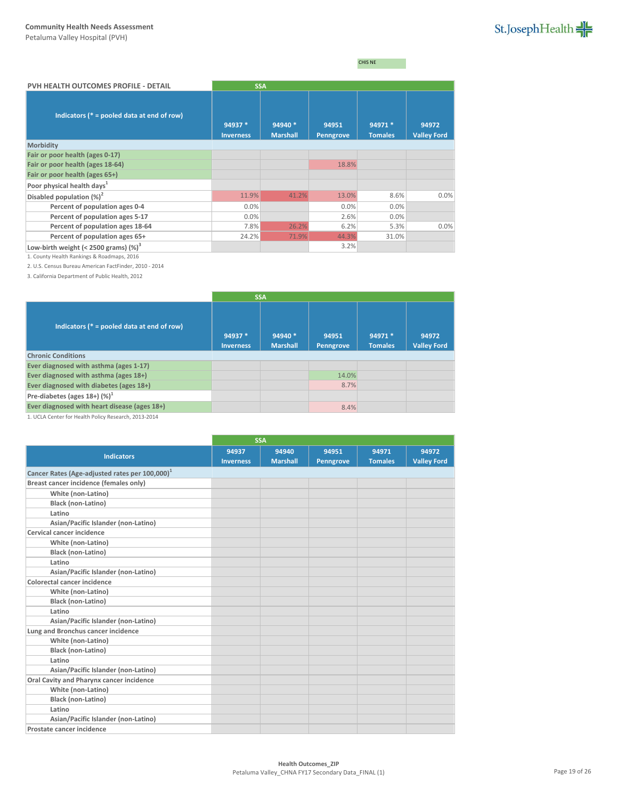CHIS NE

| PVH HEALTH OUTCOMES PROFILE - DETAIL          | <b>SSA</b>                  |                            |                    |                           |                             |
|-----------------------------------------------|-----------------------------|----------------------------|--------------------|---------------------------|-----------------------------|
| Indicators ( $* =$ pooled data at end of row) | 94937 *<br><b>Inverness</b> | 94940 *<br><b>Marshall</b> | 94951<br>Penngrove | 94971 *<br><b>Tomales</b> | 94972<br><b>Valley Ford</b> |
| Morbidity                                     |                             |                            |                    |                           |                             |
| Fair or poor health (ages 0-17)               |                             |                            |                    |                           |                             |
| Fair or poor health (ages 18-64)              |                             |                            | 18.8%              |                           |                             |
| Fair or poor health (ages 65+)                |                             |                            |                    |                           |                             |
| Poor physical health days <sup>1</sup>        |                             |                            |                    |                           |                             |
| Disabled population $(\%)^2$                  | 11.9%                       | 41.2%                      | 13.0%              | 8.6%                      | 0.0%                        |
| Percent of population ages 0-4                | 0.0%                        |                            | 0.0%               | 0.0%                      |                             |
| Percent of population ages 5-17               | 0.0%                        |                            | 2.6%               | 0.0%                      |                             |
| Percent of population ages 18-64              | 7.8%                        | 26.2%                      | 6.2%               | 5.3%                      | 0.0%                        |
| Percent of population ages 65+                | 24.2%                       | 71.9%                      | 44.3%              | 31.0%                     |                             |
| Low-birth weight (< 2500 grams) $(\%)^3$      |                             |                            | 3.2%               |                           |                             |

1. County Health Rankings & Roadmaps, 2016

2. U.S. Census Bureau American FactFinder, 2010 - 2014

3. California Department of Public Health, 2012

|                                               | <b>SSA</b>                  |                            |                    |                           |                             |
|-----------------------------------------------|-----------------------------|----------------------------|--------------------|---------------------------|-----------------------------|
| Indicators ( $* =$ pooled data at end of row) | 94937 *<br><b>Inverness</b> | 94940 *<br><b>Marshall</b> | 94951<br>Penngrove | 94971 *<br><b>Tomales</b> | 94972<br><b>Valley Ford</b> |
| <b>Chronic Conditions</b>                     |                             |                            |                    |                           |                             |
| Ever diagnosed with asthma (ages 1-17)        |                             |                            |                    |                           |                             |
| Ever diagnosed with asthma (ages 18+)         |                             |                            | 14.0%              |                           |                             |
| Ever diagnosed with diabetes (ages 18+)       |                             |                            | 8.7%               |                           |                             |
| Pre-diabetes (ages $18+$ ) (%) <sup>1</sup>   |                             |                            |                    |                           |                             |
| Ever diagnosed with heart disease (ages 18+)  |                             |                            | 8.4%               |                           |                             |

1. UCLA Center for Health Policy Research, 2013-2014

|                                                            |                  | <b>SSA</b>      |                  |                |                    |
|------------------------------------------------------------|------------------|-----------------|------------------|----------------|--------------------|
| <b>Indicators</b>                                          | 94937            | 94940           | 94951            | 94971          | 94972              |
|                                                            | <b>Inverness</b> | <b>Marshall</b> | <b>Penngrove</b> | <b>Tomales</b> | <b>Valley Ford</b> |
| Cancer Rates (Age-adjusted rates per 100,000) <sup>1</sup> |                  |                 |                  |                |                    |
| Breast cancer incidence (females only)                     |                  |                 |                  |                |                    |
| White (non-Latino)                                         |                  |                 |                  |                |                    |
| Black (non-Latino)                                         |                  |                 |                  |                |                    |
| Latino                                                     |                  |                 |                  |                |                    |
| Asian/Pacific Islander (non-Latino)                        |                  |                 |                  |                |                    |
| Cervical cancer incidence                                  |                  |                 |                  |                |                    |
| White (non-Latino)                                         |                  |                 |                  |                |                    |
| <b>Black (non-Latino)</b>                                  |                  |                 |                  |                |                    |
| Latino                                                     |                  |                 |                  |                |                    |
| Asian/Pacific Islander (non-Latino)                        |                  |                 |                  |                |                    |
| Colorectal cancer incidence                                |                  |                 |                  |                |                    |
| White (non-Latino)                                         |                  |                 |                  |                |                    |
| <b>Black (non-Latino)</b>                                  |                  |                 |                  |                |                    |
| Latino                                                     |                  |                 |                  |                |                    |
| Asian/Pacific Islander (non-Latino)                        |                  |                 |                  |                |                    |
| Lung and Bronchus cancer incidence                         |                  |                 |                  |                |                    |
| White (non-Latino)                                         |                  |                 |                  |                |                    |
| <b>Black (non-Latino)</b>                                  |                  |                 |                  |                |                    |
| Latino                                                     |                  |                 |                  |                |                    |
| Asian/Pacific Islander (non-Latino)                        |                  |                 |                  |                |                    |
| Oral Cavity and Pharynx cancer incidence                   |                  |                 |                  |                |                    |
| White (non-Latino)                                         |                  |                 |                  |                |                    |
| <b>Black (non-Latino)</b>                                  |                  |                 |                  |                |                    |
| Latino                                                     |                  |                 |                  |                |                    |
| Asian/Pacific Islander (non-Latino)                        |                  |                 |                  |                |                    |
| Prostate cancer incidence                                  |                  |                 |                  |                |                    |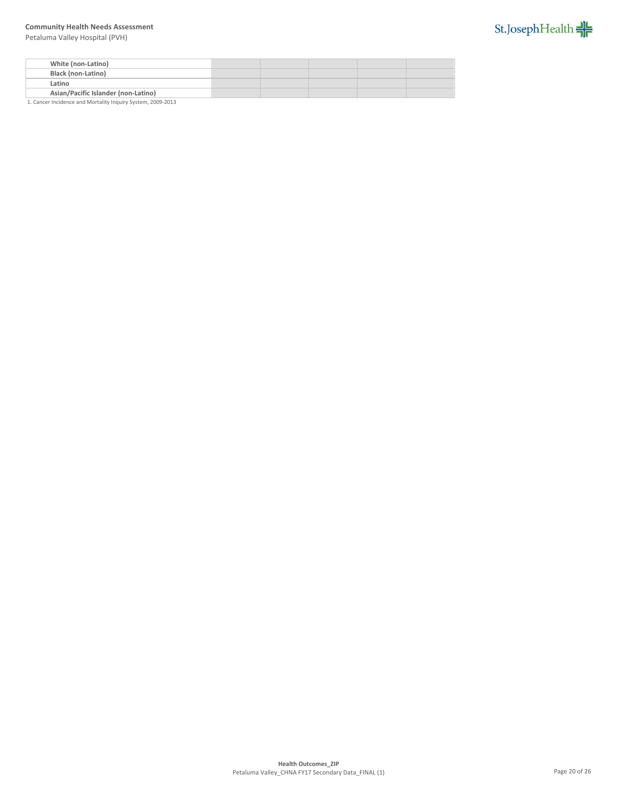Petaluma Valley Hospital (PVH)



| White (non-Latino)                  |  |  |  |
|-------------------------------------|--|--|--|
| <b>Black (non-Latino)</b>           |  |  |  |
| Latino                              |  |  |  |
| Asian/Pacific Islander (non-Latino) |  |  |  |

1. Cancer Incidence and Mortality Inquiry System, 2009-2013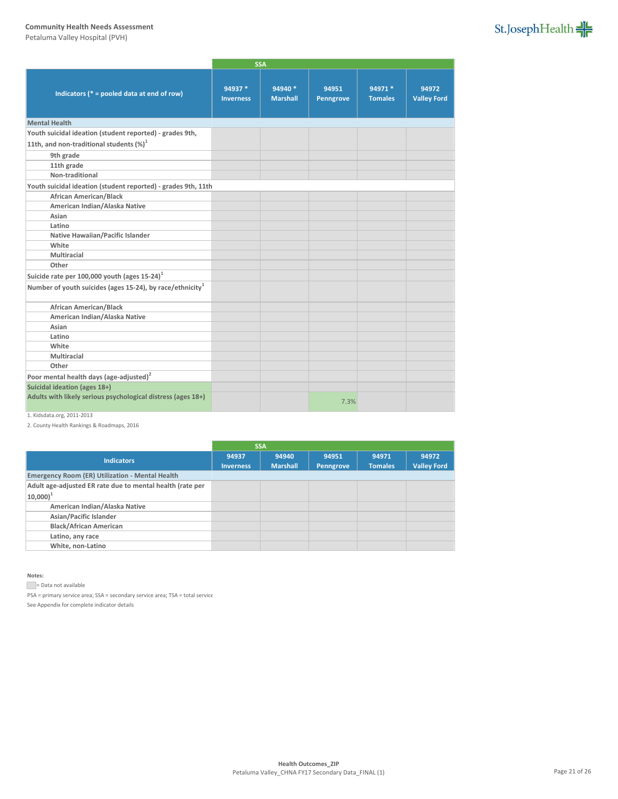Petaluma Valley Hospital (PVH)

|                                                                       |                             | <b>SSA</b>                 |                    |                           |                             |
|-----------------------------------------------------------------------|-----------------------------|----------------------------|--------------------|---------------------------|-----------------------------|
| Indicators ( $* =$ pooled data at end of row)                         | 94937 *<br><b>Inverness</b> | 94940 *<br><b>Marshall</b> | 94951<br>Penngrove | 94971 *<br><b>Tomales</b> | 94972<br><b>Valley Ford</b> |
| <b>Mental Health</b>                                                  |                             |                            |                    |                           |                             |
| Youth suicidal ideation (student reported) - grades 9th,              |                             |                            |                    |                           |                             |
| 11th, and non-traditional students $(\%)^1$                           |                             |                            |                    |                           |                             |
| 9th grade                                                             |                             |                            |                    |                           |                             |
| 11th grade                                                            |                             |                            |                    |                           |                             |
| Non-traditional                                                       |                             |                            |                    |                           |                             |
| Youth suicidal ideation (student reported) - grades 9th, 11th         |                             |                            |                    |                           |                             |
| <b>African American/Black</b>                                         |                             |                            |                    |                           |                             |
| American Indian/Alaska Native                                         |                             |                            |                    |                           |                             |
| Asian                                                                 |                             |                            |                    |                           |                             |
| Latino                                                                |                             |                            |                    |                           |                             |
| Native Hawaiian/Pacific Islander                                      |                             |                            |                    |                           |                             |
| White                                                                 |                             |                            |                    |                           |                             |
| Multiracial                                                           |                             |                            |                    |                           |                             |
| Other                                                                 |                             |                            |                    |                           |                             |
| Suicide rate per 100,000 youth (ages 15-24) <sup>1</sup>              |                             |                            |                    |                           |                             |
| Number of youth suicides (ages 15-24), by race/ethnicity <sup>1</sup> |                             |                            |                    |                           |                             |
| <b>African American/Black</b>                                         |                             |                            |                    |                           |                             |
| American Indian/Alaska Native                                         |                             |                            |                    |                           |                             |
| Asian                                                                 |                             |                            |                    |                           |                             |
| Latino                                                                |                             |                            |                    |                           |                             |
| White                                                                 |                             |                            |                    |                           |                             |
| Multiracial                                                           |                             |                            |                    |                           |                             |
| Other                                                                 |                             |                            |                    |                           |                             |
| Poor mental health days (age-adjusted) <sup>2</sup>                   |                             |                            |                    |                           |                             |
| Suicidal ideation (ages 18+)                                          |                             |                            |                    |                           |                             |
| Adults with likely serious psychological distress (ages 18+)          |                             |                            | 7.3%               |                           |                             |

# 1. Kidsdata.org, 2011-2013

2. County Health Rankings & Roadmaps, 2016

|                                                           |                  | <b>SSA</b>      |           |                |                    |
|-----------------------------------------------------------|------------------|-----------------|-----------|----------------|--------------------|
| <b>Indicators</b>                                         | 94937            | 94940           | 94951     | 94971          | 94972              |
|                                                           | <b>Inverness</b> | <b>Marshall</b> | Penngrove | <b>Tomales</b> | <b>Valley Ford</b> |
| <b>Emergency Room (ER) Utilization - Mental Health</b>    |                  |                 |           |                |                    |
| Adult age-adjusted ER rate due to mental health (rate per |                  |                 |           |                |                    |
| $ 10,000 ^{1}$                                            |                  |                 |           |                |                    |
| American Indian/Alaska Native                             |                  |                 |           |                |                    |
| Asian/Pacific Islander                                    |                  |                 |           |                |                    |
| <b>Black/African American</b>                             |                  |                 |           |                |                    |
| Latino, any race                                          |                  |                 |           |                |                    |
| White, non-Latino                                         |                  |                 |           |                |                    |
|                                                           |                  |                 |           |                |                    |

#### **Notes:**

Data not available

 $PSA = primary$  service area;  $SSA = secondary$  service area;  $TSA = total$  service

See Appendix for complete indicator details

St.JosephHealth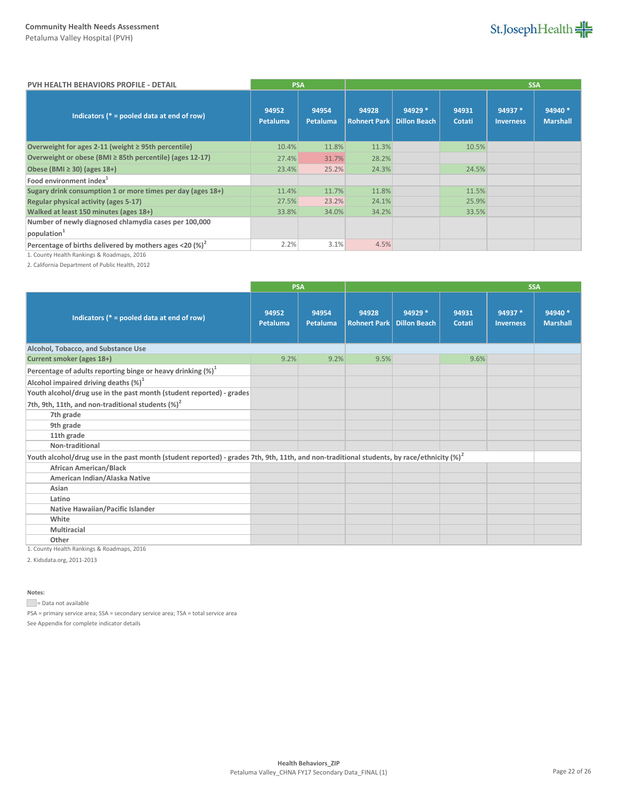St.JosephHealth

| <b>PVH HEALTH BEHAVIORS PROFILE - DETAIL</b>                |                   | <b>PSA</b>        |       |                                               |                 |                             | <b>SSA</b>                 |
|-------------------------------------------------------------|-------------------|-------------------|-------|-----------------------------------------------|-----------------|-----------------------------|----------------------------|
| Indicators ( $* =$ pooled data at end of row)               | 94952<br>Petaluma | 94954<br>Petaluma | 94928 | 94929 *<br><b>Rohnert Park   Dillon Beach</b> | 94931<br>Cotati | 94937 *<br><b>Inverness</b> | 94940 *<br><b>Marshall</b> |
| Overweight for ages 2-11 (weight ≥ 95th percentile)         | 10.4%             | 11.8%             | 11.3% |                                               | 10.5%           |                             |                            |
| Overweight or obese (BMI ≥ 85th percentile) (ages 12-17)    | 27.4%             | 31.7%             | 28.2% |                                               |                 |                             |                            |
| Obese (BMI $\geq$ 30) (ages 18+)                            | 23.4%             | 25.2%             | 24.3% |                                               | 24.5%           |                             |                            |
| Food environment index <sup>1</sup>                         |                   |                   |       |                                               |                 |                             |                            |
| Sugary drink consumption 1 or more times per day (ages 18+) | 11.4%             | 11.7%             | 11.8% |                                               | 11.5%           |                             |                            |
| Regular physical activity (ages 5-17)                       | 27.5%             | 23.2%             | 24.1% |                                               | 25.9%           |                             |                            |
| Walked at least 150 minutes (ages 18+)                      | 33.8%             | 34.0%             | 34.2% |                                               | 33.5%           |                             |                            |
| Number of newly diagnosed chlamydia cases per 100,000       |                   |                   |       |                                               |                 |                             |                            |
| population <sup>1</sup>                                     |                   |                   |       |                                               |                 |                             |                            |
| Percentage of births delivered by mothers ages <20 $(%)^2$  | 2.2%              | 3.1%              | 4.5%  |                                               |                 |                             |                            |

1. County Health Rankings & Roadmaps, 2016

2. California Department of Public Health, 2012

|                                                                                                                                               | <b>PSA</b>        |                   |                              |                                |                 | <b>SSA</b>                  |                            |
|-----------------------------------------------------------------------------------------------------------------------------------------------|-------------------|-------------------|------------------------------|--------------------------------|-----------------|-----------------------------|----------------------------|
| Indicators ( $* =$ pooled data at end of row)                                                                                                 | 94952<br>Petaluma | 94954<br>Petaluma | 94928<br><b>Rohnert Park</b> | 94929 *<br><b>Dillon Beach</b> | 94931<br>Cotati | 94937 *<br><b>Inverness</b> | 94940 *<br><b>Marshall</b> |
| Alcohol, Tobacco, and Substance Use                                                                                                           |                   |                   |                              |                                |                 |                             |                            |
| Current smoker (ages 18+)                                                                                                                     | 9.2%              | 9.2%              | 9.5%                         |                                | 9.6%            |                             |                            |
| Percentage of adults reporting binge or heavy drinking $(\%)^1$                                                                               |                   |                   |                              |                                |                 |                             |                            |
| Alcohol impaired driving deaths $(\%)^1$                                                                                                      |                   |                   |                              |                                |                 |                             |                            |
| Youth alcohol/drug use in the past month (student reported) - grades                                                                          |                   |                   |                              |                                |                 |                             |                            |
| 7th, 9th, 11th, and non-traditional students $(\%)^2$                                                                                         |                   |                   |                              |                                |                 |                             |                            |
| 7th grade                                                                                                                                     |                   |                   |                              |                                |                 |                             |                            |
| 9th grade                                                                                                                                     |                   |                   |                              |                                |                 |                             |                            |
| 11th grade                                                                                                                                    |                   |                   |                              |                                |                 |                             |                            |
| Non-traditional                                                                                                                               |                   |                   |                              |                                |                 |                             |                            |
| Youth alcohol/drug use in the past month (student reported) - grades 7th, 9th, 11th, and non-traditional students, by race/ethnicity $(\%)^2$ |                   |                   |                              |                                |                 |                             |                            |
| <b>African American/Black</b>                                                                                                                 |                   |                   |                              |                                |                 |                             |                            |
| American Indian/Alaska Native                                                                                                                 |                   |                   |                              |                                |                 |                             |                            |
| Asian                                                                                                                                         |                   |                   |                              |                                |                 |                             |                            |
| Latino                                                                                                                                        |                   |                   |                              |                                |                 |                             |                            |
| <b>Native Hawaiian/Pacific Islander</b>                                                                                                       |                   |                   |                              |                                |                 |                             |                            |
| White                                                                                                                                         |                   |                   |                              |                                |                 |                             |                            |
| Multiracial                                                                                                                                   |                   |                   |                              |                                |                 |                             |                            |
| Other                                                                                                                                         |                   |                   |                              |                                |                 |                             |                            |

1. County Health Rankings & Roadmaps, 2016

2. Kidsdata.org, 2011-2013

**Notes:**

= Data not available

PSA = primary service area; SSA = secondary service area; TSA = total service area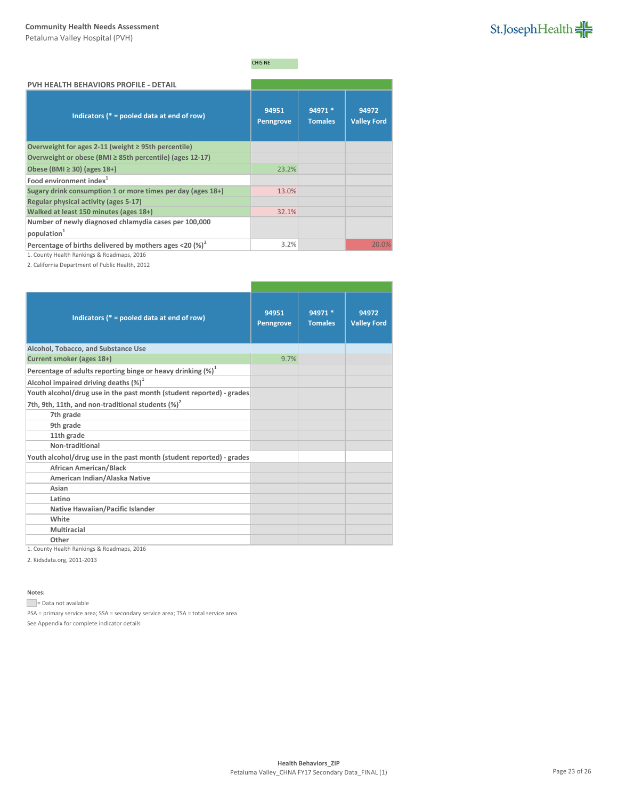

# CHIS NE

| PVH HEALTH BEHAVIORS PROFILE - DETAIL                       |                           |                           |                             |
|-------------------------------------------------------------|---------------------------|---------------------------|-----------------------------|
| Indicators ( $* =$ pooled data at end of row)               | 94951<br><b>Penngrove</b> | 94971 *<br><b>Tomales</b> | 94972<br><b>Valley Ford</b> |
| Overweight for ages 2-11 (weight $\geq$ 95th percentile)    |                           |                           |                             |
| Overweight or obese (BMI ≥ 85th percentile) (ages 12-17)    |                           |                           |                             |
| Obese (BMI $\geq$ 30) (ages 18+)                            | 23.2%                     |                           |                             |
| Food environment index <sup>1</sup>                         |                           |                           |                             |
| Sugary drink consumption 1 or more times per day (ages 18+) | 13.0%                     |                           |                             |
| Regular physical activity (ages 5-17)                       |                           |                           |                             |
| Walked at least 150 minutes (ages 18+)                      | 32.1%                     |                           |                             |
| Number of newly diagnosed chlamydia cases per 100,000       |                           |                           |                             |
| population <sup>1</sup>                                     |                           |                           |                             |
| Percentage of births delivered by mothers ages <20 $(%)^2$  | 3.2%                      |                           | 20.0%                       |

1. County Health Rankings & Roadmaps, 2016

2. California Department of Public Health, 2012

| Indicators ( $* =$ pooled data at end of row)                                                                                 | 94951<br><b>Penngrove</b> | 94971 *<br><b>Tomales</b> | 94972<br><b>Valley Ford</b> |
|-------------------------------------------------------------------------------------------------------------------------------|---------------------------|---------------------------|-----------------------------|
| Alcohol, Tobacco, and Substance Use                                                                                           |                           |                           |                             |
| Current smoker (ages 18+)                                                                                                     | 9.7%                      |                           |                             |
| Percentage of adults reporting binge or heavy drinking (%) <sup>1</sup>                                                       |                           |                           |                             |
| Alcohol impaired driving deaths $(\%)^1$                                                                                      |                           |                           |                             |
| Youth alcohol/drug use in the past month (student reported) - grades<br>7th, 9th, 11th, and non-traditional students $(\%)^2$ |                           |                           |                             |
| 7th grade                                                                                                                     |                           |                           |                             |
| 9th grade                                                                                                                     |                           |                           |                             |
| 11th grade                                                                                                                    |                           |                           |                             |
| Non-traditional                                                                                                               |                           |                           |                             |
| Youth alcohol/drug use in the past month (student reported) - grades                                                          |                           |                           |                             |
| <b>African American/Black</b>                                                                                                 |                           |                           |                             |
| American Indian/Alaska Native                                                                                                 |                           |                           |                             |
| Asian                                                                                                                         |                           |                           |                             |
| Latino                                                                                                                        |                           |                           |                             |
| Native Hawaiian/Pacific Islander                                                                                              |                           |                           |                             |
| White                                                                                                                         |                           |                           |                             |
| Multiracial                                                                                                                   |                           |                           |                             |
| Other                                                                                                                         |                           |                           |                             |

1. County Health Rankings & Roadmaps, 2016

2. Kidsdata.org, 2011-2013

**Notes:**

= Data not available

PSA = primary service area; SSA = secondary service area; TSA = total service area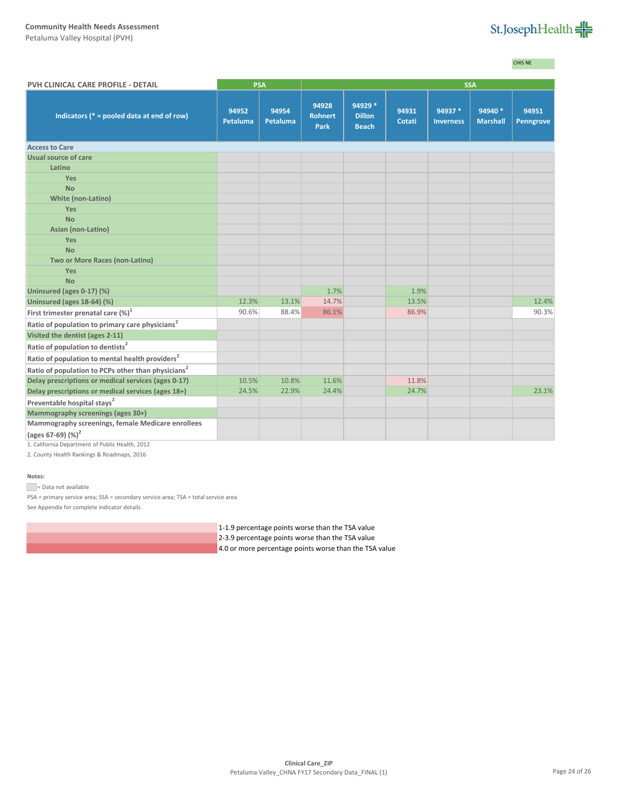Petaluma Valley Hospital (PVH)



CHIS NE

| PVH CLINICAL CARE PROFILE - DETAIL                             |                   | <b>PSA</b>        | <b>SSA</b>                             |                                          |                 |                             |                            |                    |
|----------------------------------------------------------------|-------------------|-------------------|----------------------------------------|------------------------------------------|-----------------|-----------------------------|----------------------------|--------------------|
| Indicators ( $* =$ pooled data at end of row)                  | 94952<br>Petaluma | 94954<br>Petaluma | 94928<br><b>Rohnert</b><br><b>Park</b> | 94929 *<br><b>Dillon</b><br><b>Beach</b> | 94931<br>Cotati | 94937 *<br><b>Inverness</b> | 94940 *<br><b>Marshall</b> | 94951<br>Penngrove |
| <b>Access to Care</b>                                          |                   |                   |                                        |                                          |                 |                             |                            |                    |
| Usual source of care                                           |                   |                   |                                        |                                          |                 |                             |                            |                    |
| Latino                                                         |                   |                   |                                        |                                          |                 |                             |                            |                    |
| <b>Yes</b>                                                     |                   |                   |                                        |                                          |                 |                             |                            |                    |
| <b>No</b>                                                      |                   |                   |                                        |                                          |                 |                             |                            |                    |
| <b>White (non-Latino)</b>                                      |                   |                   |                                        |                                          |                 |                             |                            |                    |
| <b>Yes</b>                                                     |                   |                   |                                        |                                          |                 |                             |                            |                    |
| <b>No</b>                                                      |                   |                   |                                        |                                          |                 |                             |                            |                    |
| Asian (non-Latino)                                             |                   |                   |                                        |                                          |                 |                             |                            |                    |
| Yes                                                            |                   |                   |                                        |                                          |                 |                             |                            |                    |
| <b>No</b>                                                      |                   |                   |                                        |                                          |                 |                             |                            |                    |
| Two or More Races (non-Latino)                                 |                   |                   |                                        |                                          |                 |                             |                            |                    |
| <b>Yes</b>                                                     |                   |                   |                                        |                                          |                 |                             |                            |                    |
| <b>No</b>                                                      |                   |                   |                                        |                                          |                 |                             |                            |                    |
| Uninsured (ages 0-17) (%)                                      |                   |                   | 1.7%                                   |                                          | 1.9%            |                             |                            |                    |
| Uninsured (ages 18-64) (%)                                     | 12.3%             | 13.1%             | 14.7%                                  |                                          | 13.5%           |                             |                            | 12.4%              |
| First trimester prenatal care (%) <sup>1</sup>                 | 90.6%             | 88.4%             | 86.1%                                  |                                          | 86.9%           |                             |                            | 90.3%              |
| Ratio of population to primary care physicians <sup>2</sup>    |                   |                   |                                        |                                          |                 |                             |                            |                    |
| Visited the dentist (ages 2-11)                                |                   |                   |                                        |                                          |                 |                             |                            |                    |
| Ratio of population to dentists <sup>2</sup>                   |                   |                   |                                        |                                          |                 |                             |                            |                    |
| Ratio of population to mental health providers <sup>2</sup>    |                   |                   |                                        |                                          |                 |                             |                            |                    |
| Ratio of population to PCPs other than physicians <sup>2</sup> |                   |                   |                                        |                                          |                 |                             |                            |                    |
| Delay prescriptions or medical services (ages 0-17)            | 10.5%             | 10.8%             | 11.6%                                  |                                          | 11.8%           |                             |                            |                    |
| Delay prescriptions or medical services (ages 18+)             | 24.5%             | 22.9%             | 24.4%                                  |                                          | 24.7%           |                             |                            | 23.1%              |
| Preventable hospital stays <sup>2</sup>                        |                   |                   |                                        |                                          |                 |                             |                            |                    |
| Mammography screenings (ages 30+)                              |                   |                   |                                        |                                          |                 |                             |                            |                    |
| Mammography screenings, female Medicare enrollees              |                   |                   |                                        |                                          |                 |                             |                            |                    |
| (ages 67-69) (%) <sup>2</sup>                                  |                   |                   |                                        |                                          |                 |                             |                            |                    |
|                                                                |                   |                   |                                        |                                          |                 |                             |                            |                    |

1. California Department of Public Health, 2012

2. County Health Rankings & Roadmaps, 2016

### **Notes:**

Data not available

PSA = primary service area; SSA = secondary service area; TSA = total service area

See Appendix for complete indicator details

1-1.9 percentage points worse than the TSA value

- 2-3.9 percentage points worse than the TSA value
- 4.0 or more percentage points worse than the TSA value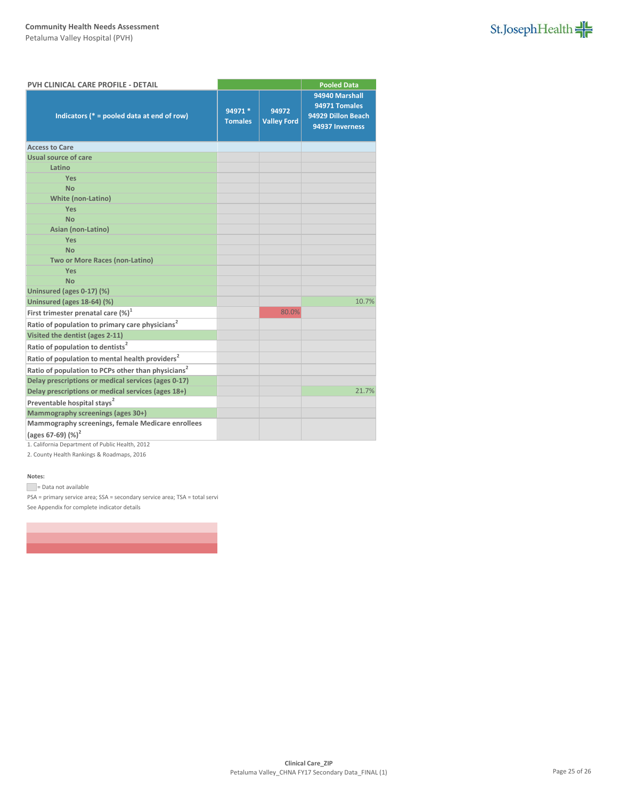

| PVH CLINICAL CARE PROFILE - DETAIL                             |                           |                             | <b>Pooled Data</b>                                                       |  |
|----------------------------------------------------------------|---------------------------|-----------------------------|--------------------------------------------------------------------------|--|
| Indicators ( $* =$ pooled data at end of row)                  | 94971 *<br><b>Tomales</b> | 94972<br><b>Valley Ford</b> | 94940 Marshall<br>94971 Tomales<br>94929 Dillon Beach<br>94937 Inverness |  |
| <b>Access to Care</b>                                          |                           |                             |                                                                          |  |
| Usual source of care                                           |                           |                             |                                                                          |  |
| Latino                                                         |                           |                             |                                                                          |  |
| <b>Yes</b>                                                     |                           |                             |                                                                          |  |
| <b>No</b>                                                      |                           |                             |                                                                          |  |
| <b>White (non-Latino)</b>                                      |                           |                             |                                                                          |  |
| Yes                                                            |                           |                             |                                                                          |  |
| <b>No</b>                                                      |                           |                             |                                                                          |  |
| Asian (non-Latino)                                             |                           |                             |                                                                          |  |
| Yes                                                            |                           |                             |                                                                          |  |
| <b>No</b>                                                      |                           |                             |                                                                          |  |
| Two or More Races (non-Latino)                                 |                           |                             |                                                                          |  |
| Yes                                                            |                           |                             |                                                                          |  |
| <b>No</b>                                                      |                           |                             |                                                                          |  |
| Uninsured (ages 0-17) (%)                                      |                           |                             |                                                                          |  |
| Uninsured (ages 18-64) (%)                                     |                           | 80.0%                       | 10.7%                                                                    |  |
| First trimester prenatal care $(\%)^1$                         |                           |                             |                                                                          |  |
| Ratio of population to primary care physicians <sup>2</sup>    |                           |                             |                                                                          |  |
| Visited the dentist (ages 2-11)                                |                           |                             |                                                                          |  |
| Ratio of population to dentists <sup>2</sup>                   |                           |                             |                                                                          |  |
| Ratio of population to mental health providers <sup>2</sup>    |                           |                             |                                                                          |  |
| Ratio of population to PCPs other than physicians <sup>2</sup> |                           |                             |                                                                          |  |
| Delay prescriptions or medical services (ages 0-17)            |                           |                             |                                                                          |  |
| Delay prescriptions or medical services (ages 18+)             |                           |                             | 21.7%                                                                    |  |
| Preventable hospital stays <sup>2</sup>                        |                           |                             |                                                                          |  |
| Mammography screenings (ages 30+)                              |                           |                             |                                                                          |  |
| Mammography screenings, female Medicare enrollees              |                           |                             |                                                                          |  |
| (ages 67-69) $(%)^2$                                           |                           |                             |                                                                          |  |

1. California Department of Public Health, 2012

2. County Health Rankings & Roadmaps, 2016

### **Notes:**

= Data not available

PSA = primary service area; SSA = secondary service area; TSA = total servi See Appendix for complete indicator details